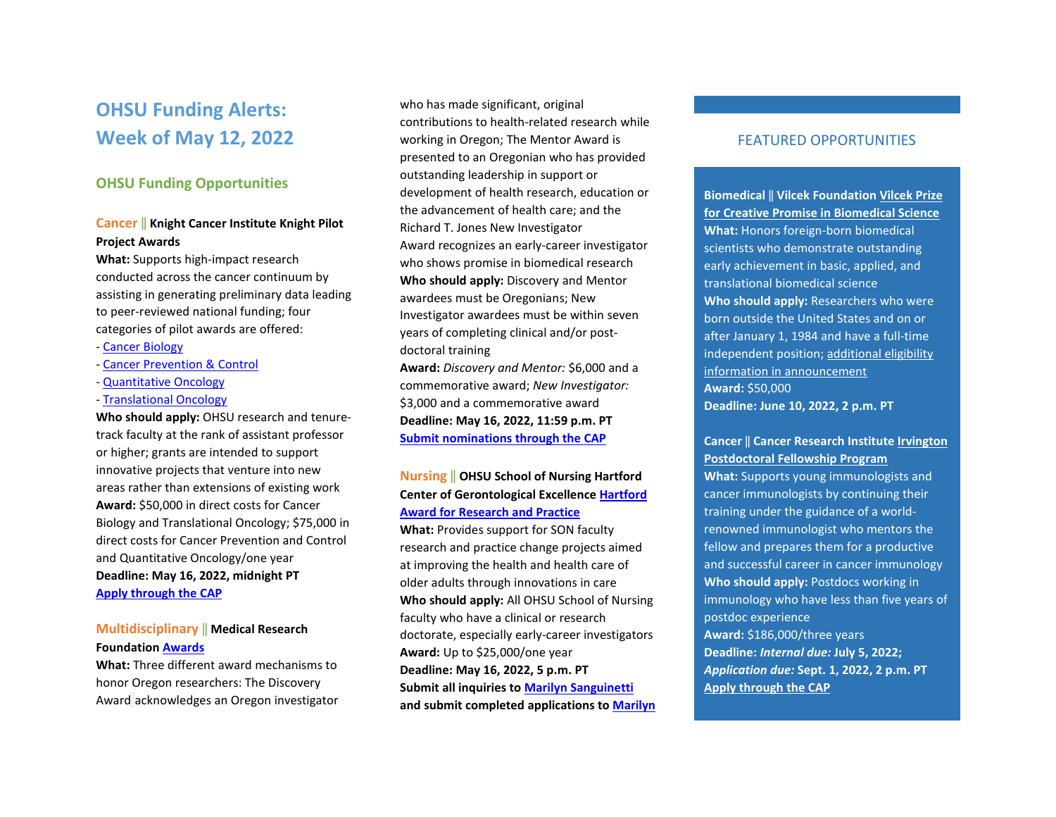# **OHSU Funding Alerts: Week of May 12, 2022**

### **OHSU Funding Opportunities**

### **Cancer** ‖ **Knight Cancer Institute Knight Pilot Project Awards**

**What:** Supports high-impact research conducted across the cancer continuum by assisting in generating preliminary data leading to peer-reviewed national funding; four categories of pilot awards are offered:

- [Cancer Biology](https://ohsu.infoready4.com/#competitionDetail/1869616)
- [Cancer Prevention & Control](https://ohsu.infoready4.com/#competitionDetail/1869620)
- [Quantitative Oncology](https://ohsu.infoready4.com/#competitionDetail/1869619)
- [Translational Oncology](https://ohsu.infoready4.com/#competitionDetail/1869618)

**Who should apply:** OHSU research and tenuretrack faculty at the rank of assistant professor or higher; grants are intended to support innovative projects that venture into new areas rather than extensions of existing work **Award:** \$50,000 in direct costs for Cancer Biology and Translational Oncology; \$75,000 in direct costs for Cancer Prevention and Control and Quantitative Oncology/one year **Deadline: May 16, 2022, midnight PT [Apply through the CAP](https://ohsu.infoready4.com/)** 

# **Multidisciplinary** ‖ **Medical Research Foundation [Awards](https://ohsu.infoready4.com/#competitionDetail/1868010)**

**What:** Three different award mechanisms to honor Oregon researchers: The Discovery Award acknowledges an Oregon investigator

who has made significant, original contributions to health-related research while working in Oregon; The Mentor Award is presented to an Oregonian who has provided outstanding leadership in support or development of health research, education or the advancement of health care; and the Richard T. Jones New Investigator Award recognizes an early-career investigator who shows promise in biomedical research **Who should apply:** Discovery and Mentor awardees must be Oregonians; New Investigator awardees must be within seven years of completing clinical and/or postdoctoral training **Award:** *Discovery and Mentor:* \$6,000 and a

commemorative award; *New Investigator:* \$3,000 and a commemorative award **Deadline: May 16, 2022, 11:59 p.m. PT [Submit nominations through the CAP](https://ohsu.infoready4.com/#competitionDetail/1868010)** 

# **Nursing** ‖ **OHSU School of Nursing Hartford Center of Gerontological Excellenc[e Hartford](https://www.ohsu.edu/school-of-nursing/hartford-center-gerontological-excellence/hartford-award-research-and-practice)  [Award for Research and Practice](https://www.ohsu.edu/school-of-nursing/hartford-center-gerontological-excellence/hartford-award-research-and-practice)**

**What:** Provides support for SON faculty research and practice change projects aimed at improving the health and health care of older adults through innovations in care **Who should apply:** All OHSU School of Nursing faculty who have a clinical or research doctorate, especially early-career investigators **Award:** Up to \$25,000/one year **Deadline: May 16, 2022, 5 p.m. PT Submit all inquiries to [Marilyn Sanguinetti](mailto:sanguine@ohsu.edu) and submit completed applications t[o Marilyn](mailto:sanguine@ohsu.edu)** 

# FEATURED OPPORTUNITIES

**Biomedical** ‖ **Vilcek Foundatio[n Vilcek Prize](https://vilcek.org/prizes/vilcek-prizes-for-creative-promise/)  [for Creative Promise in Biomedical Science](https://vilcek.org/prizes/vilcek-prizes-for-creative-promise/)  What:** Honors foreign-born biomedical scientists who demonstrate outstanding early achievement in basic, applied, and translational biomedical science **Who should apply:** Researchers who were born outside the United States and on or after January 1, 1984 and have a full-time independent position[; additional eligibility](https://vilcek.org/prizes/vilcek-prizes-for-creative-promise/)  [information in announcement](https://vilcek.org/prizes/vilcek-prizes-for-creative-promise/)  **Award:** \$50,000 **Deadline: June 10, 2022, 2 p.m. PT**

### **Cancer** ‖ **Cancer Research Institute [Irvington](https://www.cancerresearch.org/en-us/scientists/fellowships-grants/post-doctoral-fellows)  [Postdoctoral Fellowship Program](https://www.cancerresearch.org/en-us/scientists/fellowships-grants/post-doctoral-fellows)**

**What:** Supports young immunologists and cancer immunologists by continuing their training under the guidance of a worldrenowned immunologist who mentors the fellow and prepares them for a productive and successful career in cancer immunology **Who should apply:** Postdocs working in immunology who have less than five years of postdoc experience **Award:** \$186,000/three years **Deadline:** *Internal due:* **July 5, 2022;** 

*Application due:* **Sept. 1, 2022, 2 p.m. PT [Apply through the CAP](https://ohsu.infoready4.com/#competitionDetail/1871938)**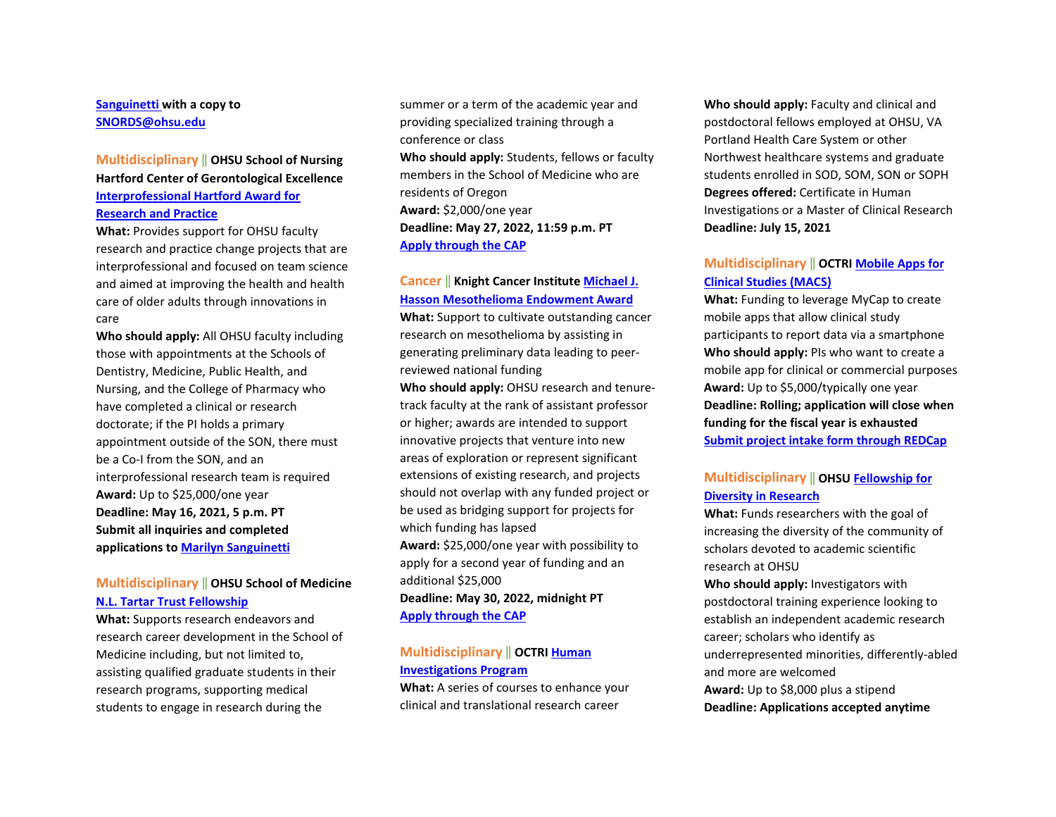### **[Sanguinetti](mailto:sanguine@ohsu.edu) with a copy to [SNORDS@ohsu.edu](mailto:SNORDS@ohsu.edu)**

# **Multidisciplinary** ‖ **OHSU School of Nursing Hartford Center of Gerontological Excellence [Interprofessional Hartford Award for](https://www.ohsu.edu/school-of-nursing/hartford-center-gerontological-excellence/hartford-award-research-and-practice)**

#### **[Research and Practice](https://www.ohsu.edu/school-of-nursing/hartford-center-gerontological-excellence/hartford-award-research-and-practice)**

**What:** Provides support for OHSU faculty research and practice change projects that are interprofessional and focused on team science and aimed at improving the health and health care of older adults through innovations in care

**Who should apply:** All OHSU faculty including those with appointments at the Schools of Dentistry, Medicine, Public Health, and Nursing, and the College of Pharmacy who have completed a clinical or research doctorate; if the PI holds a primary appointment outside of the SON, there must be a Co-I from the SON, and an interprofessional research team is required **Award:** Up to \$25,000/one year **Deadline: May 16, 2021, 5 p.m. PT Submit all inquiries and completed applications t[o Marilyn Sanguinetti](mailto:sanguine@ohsu.edu)** 

# **Multidisciplinary** ‖ **OHSU School of Medicine [N.L. Tartar Trust Fellowship](https://ohsu.infoready4.com/#competitionDetail/1866435)**

**What:** Supports research endeavors and research career development in the School of Medicine including, but not limited to, assisting qualified graduate students in their research programs, supporting medical students to engage in research during the

summer or a term of the academic year and providing specialized training through a conference or class

**Who should apply:** Students, fellows or faculty members in the School of Medicine who are residents of Oregon **Award:** \$2,000/one year **Deadline: May 27, 2022, 11:59 p.m. PT [Apply through the CAP](https://ohsu.infoready4.com/#competitionDetail/1866435)** 

# **Cancer** ‖ **Knight Cancer Institut[e Michael J.](https://ohsu.infoready4.com/#competitionDetail/1870916)  [Hasson Mesothelioma Endowment Award](https://ohsu.infoready4.com/#competitionDetail/1870916)**

**What:** Support to cultivate outstanding cancer research on mesothelioma by assisting in generating preliminary data leading to peerreviewed national funding

**Who should apply:** OHSU research and tenuretrack faculty at the rank of assistant professor or higher; awards are intended to support innovative projects that venture into new areas of exploration or represent significant extensions of existing research, and projects should not overlap with any funded project or be used as bridging support for projects for which funding has lapsed **Award:** \$25,000/one year with possibility to apply for a second year of funding and an additional \$25,000 **Deadline: May 30, 2022, midnight PT [Apply through the CAP](https://ohsu.infoready4.com/#competitionDetail/1870916)** 

# **Multidisciplinary** ‖ **OCTR[I Human](https://www.ohsu.edu/school-of-medicine/human-investigations-program)  [Investigations Program](https://www.ohsu.edu/school-of-medicine/human-investigations-program)**

**What:** A series of courses to enhance your clinical and translational research career

**Who should apply:** Faculty and clinical and postdoctoral fellows employed at OHSU, VA Portland Health Care System or other Northwest healthcare systems and graduate students enrolled in SOD, SOM, SON or SOPH **Degrees offered:** Certificate in Human Investigations or a Master of Clinical Research **Deadline: July 15, 2021** 

### **Multidisciplinary** ‖ **OCTR[I Mobile Apps for](https://www.ohsu.edu/octri/pilot-awards-where-translation-begins#:%7E:text=Each%20year%2C%20OCTRI%20awards%20pilot,the%20development%20of%20translational%20research.)  [Clinical Studies \(MACS\)](https://www.ohsu.edu/octri/pilot-awards-where-translation-begins#:%7E:text=Each%20year%2C%20OCTRI%20awards%20pilot,the%20development%20of%20translational%20research.)**

**What:** Funding to leverage MyCap to create mobile apps that allow clinical study participants to report data via a smartphone **Who should apply:** PIs who want to create a mobile app for clinical or commercial purposes **Award:** Up to \$5,000/typically one year **Deadline: Rolling; application will close when funding for the fiscal year is exhausted [Submit project intake form through REDCap](https://octri.ohsu.edu/redcap/surveys/?s=XAD7LYC8TC)**

# **Multidisciplinary** ‖ **OHSU [Fellowship for](https://ohsu.infoready4.com/#competitionDetail/1734209)  [Diversity in Research](https://ohsu.infoready4.com/#competitionDetail/1734209)**

**What:** Funds researchers with the goal of increasing the diversity of the community of scholars devoted to academic scientific research at OHSU

**Who should apply:** Investigators with postdoctoral training experience looking to establish an independent academic research career; scholars who identify as underrepresented minorities, differently-abled and more are welcomed **Award:** Up to \$8,000 plus a stipend **Deadline: Applications accepted anytime**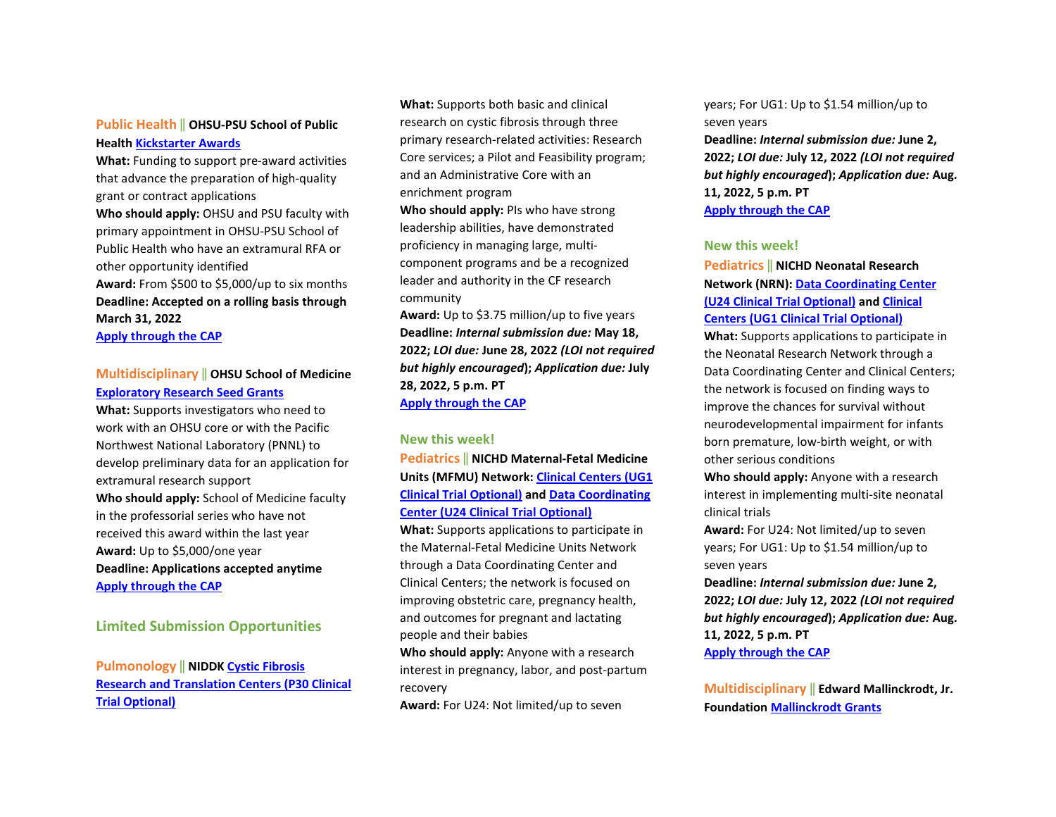# **Public Health** ‖ **OHSU-PSU School of Public Health [Kickstarter Awards](https://blogs.ohsu.edu/researchnews/files/2021/04/2021-22-SPH-Kickstarter.pdf)**

**What:** Funding to support pre-award activities that advance the preparation of high-quality grant or contract applications

**Who should apply:** OHSU and PSU faculty with primary appointment in OHSU-PSU School of Public Health who have an extramural RFA or other opportunity identified **Award:** From \$500 to \$5,000/up to six months

**Deadline: Accepted on a rolling basis through March 31, 2022** 

**[Apply through the CAP](https://ohsu.infoready4.com/#competitionDetail/1841551)** 

# **Multidisciplinary** ‖ **OHSU School of Medicine [Exploratory Research Seed Grants](https://ohsu.infoready4.com/#competitionDetail/1825440)**

**What:** Supports investigators who need to work with an OHSU core or with the Pacific Northwest National Laboratory (PNNL) to develop preliminary data for an application for extramural research support **Who should apply:** School of Medicine faculty in the professorial series who have not received this award within the last year **Award:** Up to \$5,000/one year **Deadline: Applications accepted anytime [Apply through the CAP](https://ohsu.infoready4.com/#competitionDetail/1825440)**

### **Limited Submission Opportunities**

**Pulmonology** ‖ **NIDD[K Cystic Fibrosis](https://grants.nih.gov/grants/guide/rfa-files/RFA-DK-22-011.html)  [Research and Translation Centers \(P30 Clinical](https://grants.nih.gov/grants/guide/rfa-files/RFA-DK-22-011.html)  [Trial Optional\)](https://grants.nih.gov/grants/guide/rfa-files/RFA-DK-22-011.html)**

**What:** Supports both basic and clinical research on cystic fibrosis through three primary research-related activities: Research Core services; a Pilot and Feasibility program; and an Administrative Core with an enrichment program

**Who should apply:** PIs who have strong leadership abilities, have demonstrated proficiency in managing large, multicomponent programs and be a recognized leader and authority in the CF research community

**Award:** Up to \$3.75 million/up to five years **Deadline:** *Internal submission due:* **May 18, 2022;** *LOI due:* **June 28, 2022** *(LOI not required but highly encouraged***);** *Application due:* **July 28, 2022, 5 p.m. PT [Apply through the CAP](https://ohsu.infoready4.com/#competitionDetail/1870109)** 

#### **New this week!**

**Pediatrics** ‖ **NICHD Maternal-Fetal Medicine Units (MFMU) Network[: Clinical Centers \(UG1](https://grants.nih.gov/grants/guide/rfa-files/RFA-HD-23-016.html)  [Clinical Trial Optional\)](https://grants.nih.gov/grants/guide/rfa-files/RFA-HD-23-016.html) and [Data Coordinating](https://grants.nih.gov/grants/guide/rfa-files/RFA-HD-23-017.html)  [Center \(U24 Clinical Trial Optional\)](https://grants.nih.gov/grants/guide/rfa-files/RFA-HD-23-017.html)** 

**What:** Supports applications to participate in the Maternal-Fetal Medicine Units Network through a Data Coordinating Center and Clinical Centers; the network is focused on improving obstetric care, pregnancy health, and outcomes for pregnant and lactating people and their babies

**Who should apply:** Anyone with a research interest in pregnancy, labor, and post-partum recovery

**Award:** For U24: Not limited/up to seven

years; For UG1: Up to \$1.54 million/up to seven years

**Deadline:** *Internal submission due:* **June 2, 2022;** *LOI due:* **July 12, 2022** *(LOI not required but highly encouraged***);** *Application due:* **Aug. 11, 2022, 5 p.m. PT [Apply through the CAP](https://ohsu.infoready4.com/#competitionDetail/1871941)** 

### **New this week!**

**Pediatrics** ‖ **NICHD Neonatal Research Network (NRN)[: Data Coordinating Center](https://grants.nih.gov/grants/guide/rfa-files/RFA-HD-23-001.html)  [\(U24 Clinical Trial Optional\)](https://grants.nih.gov/grants/guide/rfa-files/RFA-HD-23-001.html) and [Clinical](https://grants.nih.gov/grants/guide/rfa-files/RFA-HD-23-002.html)  [Centers \(UG1 Clinical Trial Optional\)](https://grants.nih.gov/grants/guide/rfa-files/RFA-HD-23-002.html)** 

**What:** Supports applications to participate in the Neonatal Research Network through a Data Coordinating Center and Clinical Centers; the network is focused on finding ways to improve the chances for survival without neurodevelopmental impairment for infants born premature, low-birth weight, or with other serious conditions

**Who should apply:** Anyone with a research interest in implementing multi-site neonatal clinical trials

**Award:** For U24: Not limited/up to seven years; For UG1: Up to \$1.54 million/up to seven years

**Deadline:** *Internal submission due:* **June 2, 2022;** *LOI due:* **July 12, 2022** *(LOI not required but highly encouraged***);** *Application due:* **Aug. 11, 2022, 5 p.m. PT [Apply through the CAP](https://ohsu.infoready4.com/#competitionDetail/1871647)** 

**Multidisciplinary** ‖ **Edward Mallinckrodt, Jr. Foundation [Mallinckrodt Grants](https://emallinckrodtfoundation.org/home-page)**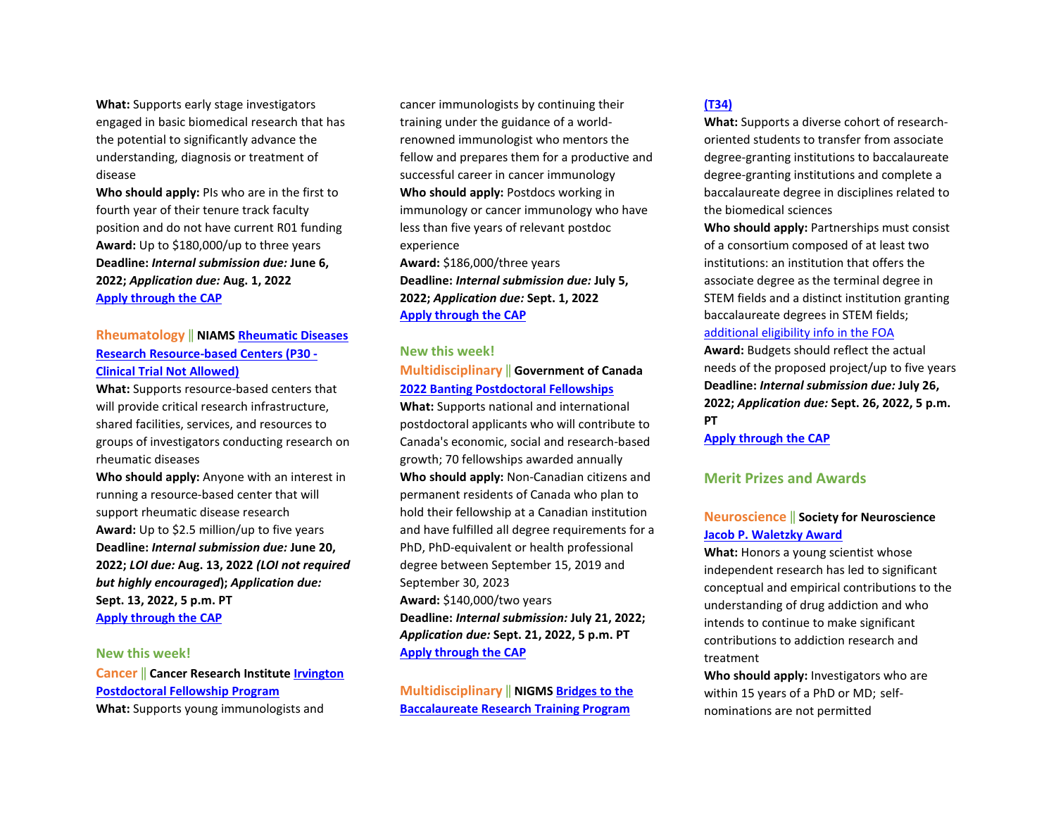**What:** Supports early stage investigators engaged in basic biomedical research that has the potential to significantly advance the understanding, diagnosis or treatment of disease

**Who should apply:** PIs who are in the first to fourth year of their tenure track faculty position and do not have current R01 funding **Award:** Up to \$180,000/up to three years **Deadline:** *Internal submission due:* **June 6, 2022;** *Application due:* **Aug. 1, 2022 [Apply through the CAP](https://ohsu.infoready4.com/#competitionDetail/1870666)** 

### **Rheumatology** ‖ **NIAM[S Rheumatic Diseases](https://grants.nih.gov/grants/guide/rfa-files/RFA-AR-23-002.html)  [Research Resource-based Centers \(P30 -](https://grants.nih.gov/grants/guide/rfa-files/RFA-AR-23-002.html)  [Clinical Trial Not Allowed\)](https://grants.nih.gov/grants/guide/rfa-files/RFA-AR-23-002.html)**

**What:** Supports resource-based centers that will provide critical research infrastructure, shared facilities, services, and resources to groups of investigators conducting research on rheumatic diseases

**Who should apply:** Anyone with an interest in running a resource-based center that will support rheumatic disease research **Award:** Up to \$2.5 million/up to five years **Deadline:** *Internal submission due:* **June 20, 2022;** *LOI due:* **Aug. 13, 2022** *(LOI not required but highly encouraged***);** *Application due:* **Sept. 13, 2022, 5 p.m. PT [Apply through the CAP](https://ohsu.infoready4.com/#competitionDetail/1871041)** 

#### **New this week!**

**Cancer** ‖ **Cancer Research Institut[e Irvington](https://www.cancerresearch.org/en-us/scientists/fellowships-grants/post-doctoral-fellows)  [Postdoctoral Fellowship Program](https://www.cancerresearch.org/en-us/scientists/fellowships-grants/post-doctoral-fellows)  What:** Supports young immunologists and

cancer immunologists by continuing their training under the guidance of a worldrenowned immunologist who mentors the fellow and prepares them for a productive and successful career in cancer immunology **Who should apply:** Postdocs working in immunology or cancer immunology who have less than five years of relevant postdoc experience **Award:** \$186,000/three years

**Deadline:** *Internal submission due:* **July 5, 2022;** *Application due:* **Sept. 1, 2022 [Apply through the CAP](https://ohsu.infoready4.com/#competitionDetail/1871938)** 

#### **New this week!**

#### **Multidisciplinary** ‖ **Government of Canada [2022 Banting Postdoctoral Fellowships](https://banting.fellowships-bourses.gc.ca/en/home-accueil.html)**

**What:** Supports national and international postdoctoral applicants who will contribute to Canada's economic, social and research-based growth; 70 fellowships awarded annually **Who should apply:** Non-Canadian citizens and permanent residents of Canada who plan to hold their fellowship at a Canadian institution and have fulfilled all degree requirements for a PhD, PhD-equivalent or health professional degree between September 15, 2019 and September 30, 2023 **Award:** \$140,000/two years **Deadline:** *Internal submission:* **July 21, 2022;**  *Application due:* **Sept. 21, 2022, 5 p.m. PT [Apply through the CAP](https://ohsu.infoready4.com/#competitionDetail/1871940)** 

**Multidisciplinary** ‖ **NIGMS [Bridges to the](https://grants.nih.gov/grants/guide/pa-files/PAR-22-125.html)  [Baccalaureate Research Training Program](https://grants.nih.gov/grants/guide/pa-files/PAR-22-125.html)** 

#### **[\(T34\)](https://grants.nih.gov/grants/guide/pa-files/PAR-22-125.html)**

**What:** Supports a diverse cohort of researchoriented students to transfer from associate degree-granting institutions to baccalaureate degree-granting institutions and complete a baccalaureate degree in disciplines related to the biomedical sciences

**Who should apply:** Partnerships must consist of a consortium composed of at least two institutions: an institution that offers the associate degree as the terminal degree in STEM fields and a distinct institution granting baccalaureate degrees in STEM fields; [additional eligibility info in the FOA](https://grants.nih.gov/grants/guide/pa-files/PAR-22-125.html#_Section_III._Eligibility) 

**Award:** Budgets should reflect the actual needs of the proposed project/up to five years **Deadline:** *Internal submission due:* **July 26, 2022;** *Application due:* **Sept. 26, 2022, 5 p.m. PT**

**[Apply through the CAP](https://ohsu.infoready4.com/#competitionDetail/1869946)** 

#### **Merit Prizes and Awards**

# **Neuroscience** ‖ **Society for Neuroscience [Jacob P. Waletzky Award](https://www.sfn.org/careers/awards/lifetime/jacob-p-waletzky-award)**

**What:** Honors a young scientist whose independent research has led to significant conceptual and empirical contributions to the understanding of drug addiction and who intends to continue to make significant contributions to addiction research and treatment

**Who should apply:** Investigators who are within 15 years of a PhD or MD; selfnominations are not permitted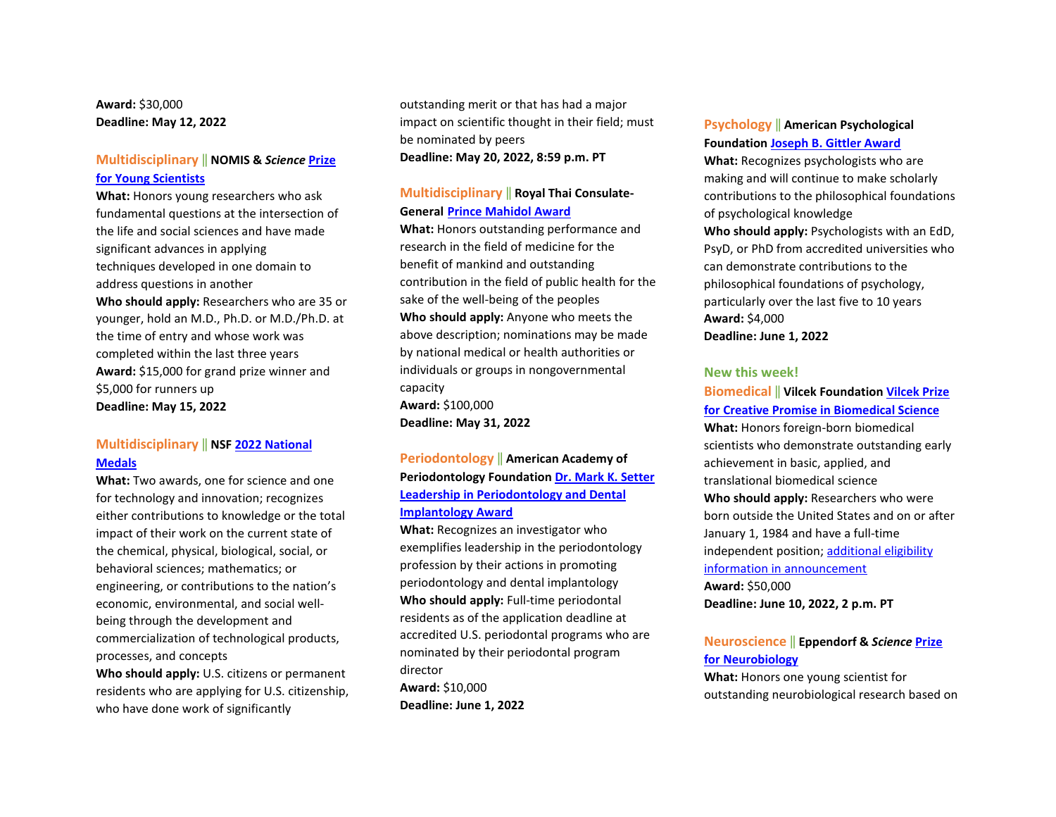**Award:** \$30,000 **Deadline: May 12, 2022** 

### **Multidisciplinary** ‖ **NOMIS &** *Science* **[Prize](https://www.science.org/content/page/science-scilifelab-prize-young-scientists)  [for Young Scientists](https://www.science.org/content/page/science-scilifelab-prize-young-scientists)**

**What:** Honors young researchers who ask fundamental questions at the intersection of the life and social sciences and have made significant advances in applying techniques developed in one domain to address questions in another **Who should apply:** Researchers who are 35 or younger, hold an M.D., Ph.D. or M.D./Ph.D. at the time of entry and whose work was completed within the last three years **Award:** \$15,000 for grand prize winner and \$5,000 for runners up **Deadline: May 15, 2022** 

### **Multidisciplinary** ‖ **NSF [2022 National](https://www.nsf.gov/od/nms/flyers/NMS-and-NMTI-%20Medals-flyer-2022.pdf?utm_medium=email&utm_source=govdelivery)  [Medals](https://www.nsf.gov/od/nms/flyers/NMS-and-NMTI-%20Medals-flyer-2022.pdf?utm_medium=email&utm_source=govdelivery)**

**What:** Two awards, one for science and one for technology and innovation; recognizes either contributions to knowledge or the total impact of their work on the current state of the chemical, physical, biological, social, or behavioral sciences; mathematics; or engineering, or contributions to the nation's economic, environmental, and social wellbeing through the development and commercialization of technological products, processes, and concepts

**Who should apply:** U.S. citizens or permanent residents who are applying for U.S. citizenship, who have done work of significantly

outstanding merit or that has had a major impact on scientific thought in their field; must be nominated by peers **Deadline: May 20, 2022, 8:59 p.m. PT** 

# **Multidisciplinary** ‖ **Royal Thai Consulate-General [Prince Mahidol Award](https://www.princemahidolaward.org/categories-of-the-award/)**

**What:** Honors outstanding performance and research in the field of medicine for the benefit of mankind and outstanding contribution in the field of public health for the sake of the well-being of the peoples **Who should apply:** Anyone who meets the above description; nominations may be made by national medical or health authorities or individuals or groups in nongovernmental capacity **Award:** \$100,000 **Deadline: May 31, 2022** 

# **Periodontology** ‖ **American Academy of Periodontology Foundation [Dr. Mark K. Setter](https://www.periofoundation.org/awards/29-education-awards/128-dr-mark-k-setter-leadership-in-periodontology-and-dental-implantology-award%5d/)  [Leadership in Periodontology and Dental](https://www.periofoundation.org/awards/29-education-awards/128-dr-mark-k-setter-leadership-in-periodontology-and-dental-implantology-award%5d/)  [Implantology Award](https://www.periofoundation.org/awards/29-education-awards/128-dr-mark-k-setter-leadership-in-periodontology-and-dental-implantology-award%5d/)**

**What:** Recognizes an investigator who exemplifies leadership in the periodontology profession by their actions in promoting periodontology and dental implantology **Who should apply:** Full-time periodontal residents as of the application deadline at accredited U.S. periodontal programs who are nominated by their periodontal program director **Award:** \$10,000

**Deadline: June 1, 2022** 

# **Psychology** ‖ **American Psychological**

#### **Foundation [Joseph B. Gittler Award](https://www.apa.org/apf/funding/gittler?tab=1)**

**What:** Recognizes psychologists who are making and will continue to make scholarly contributions to the philosophical foundations of psychological knowledge **Who should apply:** Psychologists with an EdD, PsyD, or PhD from accredited universities who can demonstrate contributions to the philosophical foundations of psychology, particularly over the last five to 10 years **Award:** \$4,000 **Deadline: June 1, 2022** 

# **New this week!**

# **Biomedical** ‖ **Vilcek Foundatio[n Vilcek Prize](https://vilcek.org/prizes/vilcek-prizes-for-creative-promise/)  [for Creative Promise in Biomedical Science](https://vilcek.org/prizes/vilcek-prizes-for-creative-promise/)  What:** Honors foreign-born biomedical scientists who demonstrate outstanding early achievement in basic, applied, and translational biomedical science **Who should apply:** Researchers who were born outside the United States and on or after January 1, 1984 and have a full-time independent position; [additional eligibility](https://vilcek.org/prizes/vilcek-prizes-for-creative-promise/)  [information in announcement](https://vilcek.org/prizes/vilcek-prizes-for-creative-promise/)  **Award:** \$50,000

**Deadline: June 10, 2022, 2 p.m. PT** 

### **Neuroscience** ‖ **Eppendorf &** *Science* **[Prize](https://www.science.org/content/page/eppendorf-and-science-prize-neurobiology)  [for Neurobiology](https://www.science.org/content/page/eppendorf-and-science-prize-neurobiology)**

**What:** Honors one young scientist for outstanding neurobiological research based on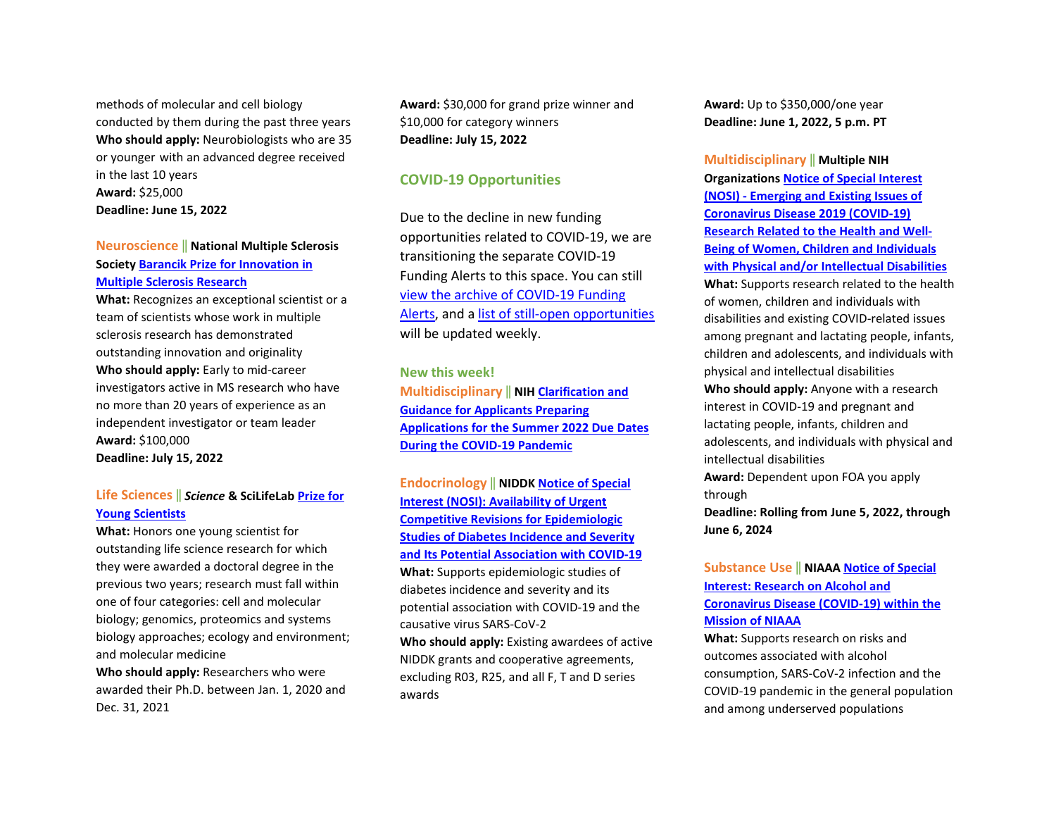methods of molecular and cell biology conducted by them during the past three years **Who should apply:** Neurobiologists who are 35 or younger with an advanced degree received in the last 10 years **Award:** \$25,000 **Deadline: June 15, 2022** 

# **Neuroscience** ‖ **National Multiple Sclerosis Society [Barancik Prize for Innovation in](https://www.nationalmssociety.org/For-Professionals/Researchers/Society-Funding/Special-Awards-and-Prizes-(1)/Barancik-Prize-for-Innovation-in-MS-Research)  [Multiple Sclerosis Research](https://www.nationalmssociety.org/For-Professionals/Researchers/Society-Funding/Special-Awards-and-Prizes-(1)/Barancik-Prize-for-Innovation-in-MS-Research)**

**What:** Recognizes an exceptional scientist or a team of scientists whose work in multiple sclerosis research has demonstrated outstanding innovation and originality **Who should apply:** Early to mid-career investigators active in MS research who have no more than 20 years of experience as an independent investigator or team leader **Award:** \$100,000 **Deadline: July 15, 2022** 

### **Life Sciences** ‖ *Science* **& SciLifeLab [Prize for](https://www.science.org/content/page/science-scilifelab-prize-young-scientists)  [Young Scientists](https://www.science.org/content/page/science-scilifelab-prize-young-scientists)**

**What:** Honors one young scientist for outstanding life science research for which they were awarded a doctoral degree in the previous two years; research must fall within one of four categories: cell and molecular biology; genomics, proteomics and systems biology approaches; ecology and environment; and molecular medicine **Who should apply:** Researchers who were

awarded their Ph.D. between Jan. 1, 2020 and Dec. 31, 2021

**Award:** \$30,000 for grand prize winner and \$10,000 for category winners **Deadline: July 15, 2022** 

### **COVID-19 Opportunities**

Due to the decline in new funding opportunities related to COVID-19, we are transitioning the separate COVID-19 Funding Alerts to this space. You can still [view the archive of COVID-19 Funding](https://blogs.ohsu.edu/researchnews/tag/covid-19-funding/)  [Alerts,](https://blogs.ohsu.edu/researchnews/tag/covid-19-funding/) and [a list of still-open opportunities](https://blogs.ohsu.edu/researchnews/2021/06/17/ohsu-covid-19-fu%E2%80%A6en-opportunities/) will be updated weekly.

**New this week! Multidisciplinary** ‖ **NIH [Clarification and](https://grants.nih.gov/grants/guide/notice-files/NOT-OD-22-112.html)  [Guidance for Applicants Preparing](https://grants.nih.gov/grants/guide/notice-files/NOT-OD-22-112.html)  [Applications for the Summer 2022 Due Dates](https://grants.nih.gov/grants/guide/notice-files/NOT-OD-22-112.html)  [During the COVID-19 Pandemic](https://grants.nih.gov/grants/guide/notice-files/NOT-OD-22-112.html)**

**Endocrinology** ‖ **NIDD[K Notice of Special](https://grants.nih.gov/grants/guide/notice-files/NOT-DK-22-017.html)  [Interest \(NOSI\): Availability of Urgent](https://grants.nih.gov/grants/guide/notice-files/NOT-DK-22-017.html)  [Competitive Revisions for Epidemiologic](https://grants.nih.gov/grants/guide/notice-files/NOT-DK-22-017.html)  [Studies of Diabetes Incidence and Severity](https://grants.nih.gov/grants/guide/notice-files/NOT-DK-22-017.html)  [and Its Potential Association with COVID-19](https://grants.nih.gov/grants/guide/notice-files/NOT-DK-22-017.html)  What:** Supports epidemiologic studies of diabetes incidence and severity and its potential association with COVID-19 and the causative virus SARS-CoV-2 **Who should apply:** Existing awardees of active NIDDK grants and cooperative agreements,

excluding R03, R25, and all F, T and D series awards

**Award:** Up to \$350,000/one year **Deadline: June 1, 2022, 5 p.m. PT** 

**Multidisciplinary** ‖ **Multiple NIH Organization[s Notice of Special Interest](https://grants.nih.gov/grants/guide/notice-files/NOT-HD-22-002.html)  [\(NOSI\) - Emerging and Existing Issues of](https://grants.nih.gov/grants/guide/notice-files/NOT-HD-22-002.html)  [Coronavirus Disease 2019 \(COVID-19\)](https://grants.nih.gov/grants/guide/notice-files/NOT-HD-22-002.html)  [Research Related to the Health and Well-](https://grants.nih.gov/grants/guide/notice-files/NOT-HD-22-002.html)[Being of Women, Children and Individuals](https://grants.nih.gov/grants/guide/notice-files/NOT-HD-22-002.html)  [with Physical and/or Intellectual Disabilities](https://grants.nih.gov/grants/guide/notice-files/NOT-HD-22-002.html)  What:** Supports research related to the health of women, children and individuals with disabilities and existing COVID-related issues among pregnant and lactating people, infants, children and adolescents, and individuals with physical and intellectual disabilities **Who should apply:** Anyone with a research interest in COVID-19 and pregnant and lactating people, infants, children and adolescents, and individuals with physical and intellectual disabilities **Award:** Dependent upon FOA you apply through **Deadline: Rolling from June 5, 2022, through June 6, 2024** 

# **Substance Use** ‖ **NIAAA [Notice of Special](https://grants.nih.gov/grants/guide/notice-files/NOT-AA-22-012.html)  [Interest: Research on Alcohol and](https://grants.nih.gov/grants/guide/notice-files/NOT-AA-22-012.html)  [Coronavirus Disease \(COVID-19\) within the](https://grants.nih.gov/grants/guide/notice-files/NOT-AA-22-012.html)  [Mission of NIAAA](https://grants.nih.gov/grants/guide/notice-files/NOT-AA-22-012.html)**

**What:** Supports research on risks and outcomes associated with alcohol consumption, SARS-CoV-2 infection and the COVID-19 pandemic in the general population and among underserved populations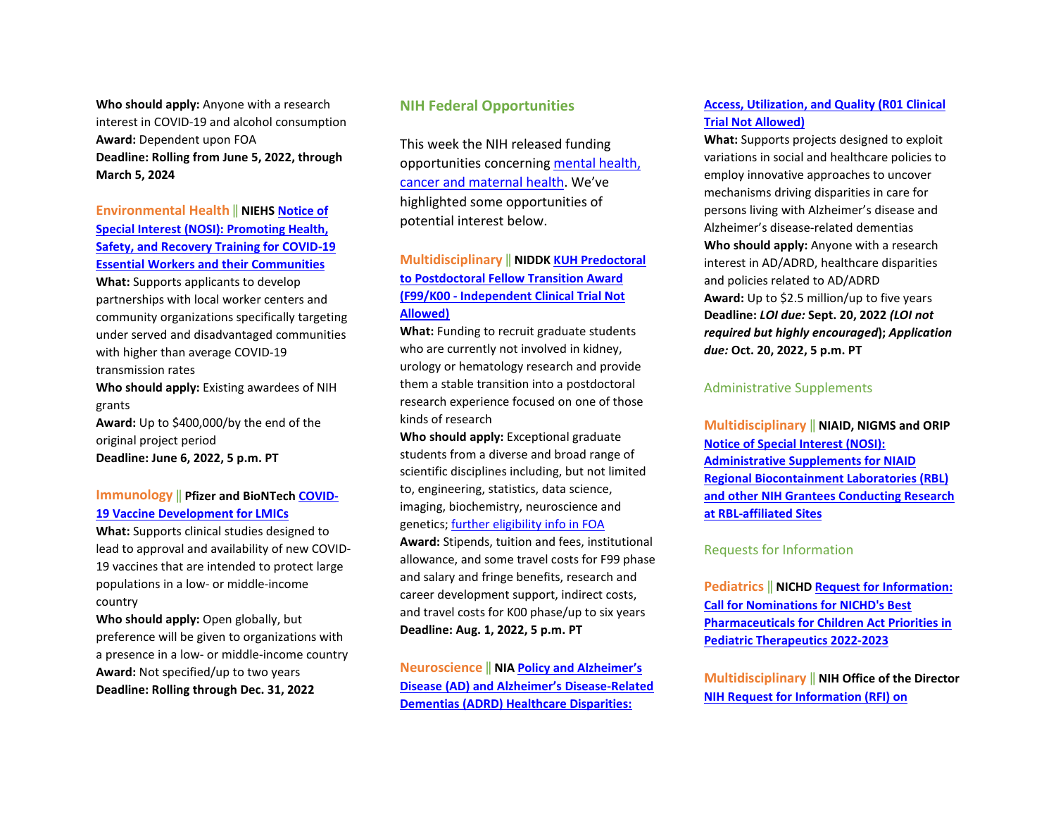**Who should apply:** Anyone with a research interest in COVID-19 and alcohol consumption **Award:** Dependent upon FOA **Deadline: Rolling from June 5, 2022, through March 5, 2024** 

**Environmental Health** ‖ **NIEH[S Notice of](https://grants.nih.gov/grants/guide/notice-files/NOT-ES-22-005.html)  [Special Interest \(NOSI\): Promoting Health,](https://grants.nih.gov/grants/guide/notice-files/NOT-ES-22-005.html)  [Safety, and Recovery Training for COVID-19](https://grants.nih.gov/grants/guide/notice-files/NOT-ES-22-005.html)  [Essential Workers and their Communities](https://grants.nih.gov/grants/guide/notice-files/NOT-ES-22-005.html)  What:** Supports applicants to develop partnerships with local worker centers and community organizations specifically targeting under served and disadvantaged communities with higher than average COVID-19 transmission rates **Who should apply:** Existing awardees of NIH grants **Award:** Up to \$400,000/by the end of the original project period **Deadline: June 6, 2022, 5 p.m. PT** 

### **Immunology** ‖ **Pfizer and BioNTech [COVID-](https://cdn.pfizer.com/pfizercom/2022-02/2022%20VAC%20G%20COVID-19%20Vaccine%20Development%20for%20LMIC_0.pdf?uzs_X6OsunI1c9QpQUpj3JFOdqf89_dZ)[19 Vaccine Development for LMICs](https://cdn.pfizer.com/pfizercom/2022-02/2022%20VAC%20G%20COVID-19%20Vaccine%20Development%20for%20LMIC_0.pdf?uzs_X6OsunI1c9QpQUpj3JFOdqf89_dZ)**

**What:** Supports clinical studies designed to lead to approval and availability of new COVID-19 vaccines that are intended to protect large populations in a low- or middle-income country

**Who should apply:** Open globally, but preference will be given to organizations with a presence in a low- or middle-income country **Award:** Not specified/up to two years **Deadline: Rolling through Dec. 31, 2022** 

# **NIH Federal Opportunities**

This week the NIH released funding opportunities concerning [mental health,](https://grants.nih.gov/grants/guide/WeeklyIndexMobile.cfm?WeekEnding=05-06-2022)  [cancer and maternal health.](https://grants.nih.gov/grants/guide/WeeklyIndexMobile.cfm?WeekEnding=05-06-2022) We've highlighted some opportunities of potential interest below.

# **Multidisciplinary** ‖ **NIDDK [KUH Predoctoral](https://grants.nih.gov/grants/guide/rfa-files/RFA-DK-21-033.html)  [to Postdoctoral Fellow Transition Award](https://grants.nih.gov/grants/guide/rfa-files/RFA-DK-21-033.html)  [\(F99/K00 - Independent Clinical Trial Not](https://grants.nih.gov/grants/guide/rfa-files/RFA-DK-21-033.html)  [Allowed\)](https://grants.nih.gov/grants/guide/rfa-files/RFA-DK-21-033.html)**

**What:** Funding to recruit graduate students who are currently not involved in kidney, urology or hematology research and provide them a stable transition into a postdoctoral research experience focused on one of those kinds of research

**Who should apply:** Exceptional graduate students from a diverse and broad range of scientific disciplines including, but not limited to, engineering, statistics, data science, imaging, biochemistry, neuroscience and genetics[; further eligibility info in FOA](https://grants.nih.gov/grants/guide/rfa-files/RFA-DK-21-033.html#_Section_III._Eligibility) 

**Award:** Stipends, tuition and fees, institutional allowance, and some travel costs for F99 phase and salary and fringe benefits, research and career development support, indirect costs, and travel costs for K00 phase/up to six years **Deadline: Aug. 1, 2022, 5 p.m. PT**

**Neuroscience** ‖ **NI[A Policy and Alzheimer's](https://grants.nih.gov/grants/guide/rfa-files/RFA-AG-23-024.html)  [Disease \(AD\) and Alzheimer's Disease-Related](https://grants.nih.gov/grants/guide/rfa-files/RFA-AG-23-024.html)  [Dementias \(ADRD\) Healthcare Disparities:](https://grants.nih.gov/grants/guide/rfa-files/RFA-AG-23-024.html)** 

### **[Access, Utilization, and Quality \(R01 Clinical](https://grants.nih.gov/grants/guide/rfa-files/RFA-AG-23-024.html)  [Trial Not Allowed\)](https://grants.nih.gov/grants/guide/rfa-files/RFA-AG-23-024.html)**

**What:** Supports projects designed to exploit variations in social and healthcare policies to employ innovative approaches to uncover mechanisms driving disparities in care for persons living with Alzheimer's disease and Alzheimer's disease-related dementias **Who should apply:** Anyone with a research interest in AD/ADRD, healthcare disparities and policies related to AD/ADRD **Award:** Up to \$2.5 million/up to five years **Deadline:** *LOI due:* **Sept. 20, 2022** *(LOI not required but highly encouraged***);** *Application due:* **Oct. 20, 2022, 5 p.m. PT**

#### Administrative Supplements

**Multidisciplinary** ‖ **NIAID, NIGMS and ORIP [Notice of Special Interest \(NOSI\):](https://grants.nih.gov/grants/guide/notice-files/NOT-AI-22-049.html)  [Administrative Supplements for NIAID](https://grants.nih.gov/grants/guide/notice-files/NOT-AI-22-049.html)  [Regional Biocontainment Laboratories \(RBL\)](https://grants.nih.gov/grants/guide/notice-files/NOT-AI-22-049.html)  [and other NIH Grantees Conducting Research](https://grants.nih.gov/grants/guide/notice-files/NOT-AI-22-049.html)  [at RBL-affiliated Sites](https://grants.nih.gov/grants/guide/notice-files/NOT-AI-22-049.html)** 

#### Requests for Information

**Pediatrics** ‖ **NICH[D Request for Information:](https://grants.nih.gov/grants/guide/notice-files/NOT-HD-22-008.html)  [Call for Nominations for NICHD's Best](https://grants.nih.gov/grants/guide/notice-files/NOT-HD-22-008.html)  [Pharmaceuticals for Children Act Priorities in](https://grants.nih.gov/grants/guide/notice-files/NOT-HD-22-008.html)  [Pediatric Therapeutics 2022-2023](https://grants.nih.gov/grants/guide/notice-files/NOT-HD-22-008.html)**

**Multidisciplinary** ‖ **NIH Office of the Director [NIH Request for Information \(RFI\) on](https://grants.nih.gov/grants/guide/notice-files/NOT-PM-22-001.html)**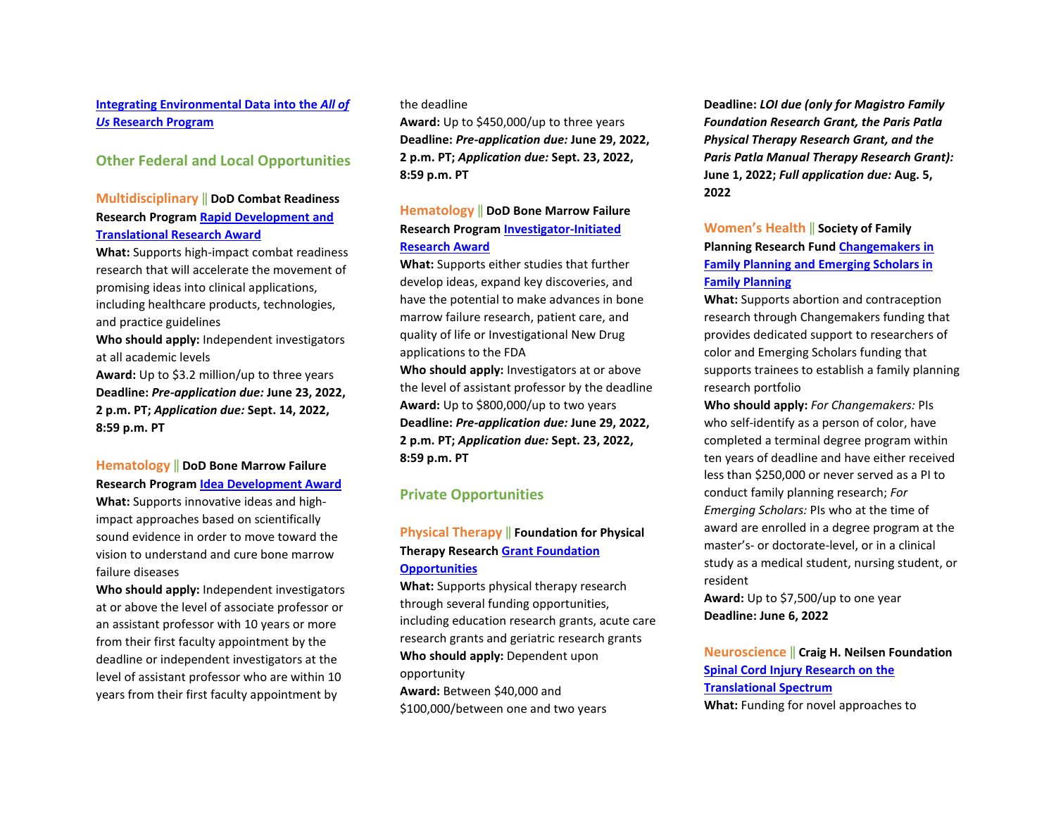# **[Integrating Environmental Data into the](https://grants.nih.gov/grants/guide/notice-files/NOT-PM-22-001.html)** *All of Us* **[Research Program](https://grants.nih.gov/grants/guide/notice-files/NOT-PM-22-001.html)**

# **Other Federal and Local Opportunities**

# **Multidisciplinary** ‖ **DoD Combat Readiness Research Program [Rapid Development and](https://cdmrp.army.mil/funding/crrp)  [Translational Research Award](https://cdmrp.army.mil/funding/crrp)**

**What:** Supports high-impact combat readiness research that will accelerate the movement of promising ideas into clinical applications, including healthcare products, technologies, and practice guidelines **Who should apply:** Independent investigators

at all academic levels **Award:** Up to \$3.2 million/up to three years **Deadline:** *Pre-application due:* **June 23, 2022, 2 p.m. PT;** *Application due:* **Sept. 14, 2022,** 

**8:59 p.m. PT**

### **Hematology** ‖ **DoD Bone Marrow Failure Research Program [Idea Development Award](https://cdmrp.army.mil/funding/bmfrp)**

**What:** Supports innovative ideas and highimpact approaches based on scientifically sound evidence in order to move toward the vision to understand and cure bone marrow failure diseases

**Who should apply:** Independent investigators at or above the level of associate professor or an assistant professor with 10 years or more from their first faculty appointment by the deadline or independent investigators at the level of assistant professor who are within 10 years from their first faculty appointment by

#### the deadline

**Award:** Up to \$450,000/up to three years **Deadline:** *Pre-application due:* **June 29, 2022, 2 p.m. PT;** *Application due:* **Sept. 23, 2022, 8:59 p.m. PT** 

# **Hematology** ‖ **DoD Bone Marrow Failure Research Program [Investigator-Initiated](https://cdmrp.army.mil/funding/bmfrp)  [Research Award](https://cdmrp.army.mil/funding/bmfrp)**

**What:** Supports either studies that further develop ideas, expand key discoveries, and have the potential to make advances in bone marrow failure research, patient care, and quality of life or Investigational New Drug applications to the FDA

**Who should apply:** Investigators at or above the level of assistant professor by the deadline **Award:** Up to \$800,000/up to two years **Deadline:** *Pre-application due:* **June 29, 2022, 2 p.m. PT;** *Application due:* **Sept. 23, 2022, 8:59 p.m. PT** 

### **Private Opportunities**

# **Physical Therapy** ‖ **Foundation for Physical Therapy Research [Grant Foundation](https://foundation4pt.org/grants/)  [Opportunities](https://foundation4pt.org/grants/)**

**What:** Supports physical therapy research through several funding opportunities, including education research grants, acute care research grants and geriatric research grants **Who should apply:** Dependent upon opportunity **Award:** Between \$40,000 and \$100,000/between one and two years

**Deadline:** *LOI due (only for Magistro Family Foundation Research Grant, the Paris Patla Physical Therapy Research Grant, and the Paris Patla Manual Therapy Research Grant):* **June 1, 2022;** *Full application due:* **Aug. 5, 2022**

# **Women's Health** ‖ **Society of Family Planning Research Fund [Changemakers in](https://www.societyfp.org/research-support/sfp-research-fund/)  [Family Planning and Emerging Scholars in](https://www.societyfp.org/research-support/sfp-research-fund/)  [Family Planning](https://www.societyfp.org/research-support/sfp-research-fund/)**

**What:** Supports abortion and contraception research through Changemakers funding that provides dedicated support to researchers of color and Emerging Scholars funding that supports trainees to establish a family planning research portfolio

**Who should apply:** *For Changemakers:* PIs who self-identify as a person of color, have completed a terminal degree program within ten years of deadline and have either received less than \$250,000 or never served as a PI to conduct family planning research; *For Emerging Scholars:* PIs who at the time of award are enrolled in a degree program at the master's- or doctorate-level, or in a clinical study as a medical student, nursing student, or resident

**Award:** Up to \$7,500/up to one year **Deadline: June 6, 2022** 

**Neuroscience** ‖ **Craig H. Neilsen Foundation [Spinal Cord Injury Research on the](https://chnfoundation.org/programs/spinal-cord-injury-research-on-the-translational-spectrum/)  [Translational Spectrum](https://chnfoundation.org/programs/spinal-cord-injury-research-on-the-translational-spectrum/) What:** Funding for novel approaches to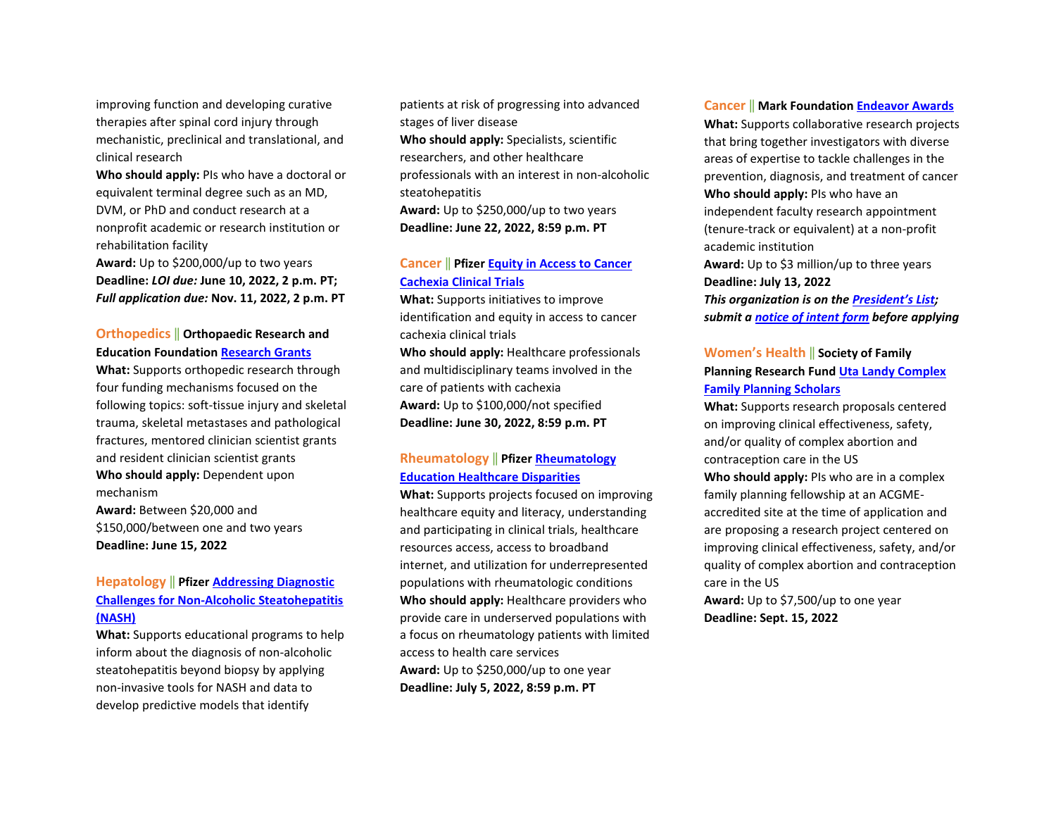improving function and developing curative therapies after spinal cord injury through mechanistic, preclinical and translational, and clinical research

**Who should apply:** PIs who have a doctoral or equivalent terminal degree such as an MD, DVM, or PhD and conduct research at a nonprofit academic or research institution or rehabilitation facility

**Award:** Up to \$200,000/up to two years **Deadline:** *LOI due:* **June 10, 2022, 2 p.m. PT;**  *Full application due:* **Nov. 11, 2022, 2 p.m. PT**

# **Orthopedics** ‖ **Orthopaedic Research and Education Foundatio[n Research Grants](https://www.oref.org/grants-and-awards/grant-programs/grant-program-information#ota)**

**What:** Supports orthopedic research through four funding mechanisms focused on the following topics: soft-tissue injury and skeletal trauma, skeletal metastases and pathological fractures, mentored clinician scientist grants and resident clinician scientist grants **Who should apply:** Dependent upon mechanism

**Award:** Between \$20,000 and \$150,000/between one and two years **Deadline: June 15, 2022**

# **Hepatology** ‖ **Pfize[r Addressing Diagnostic](https://cdn.pfizer.com/pfizercom/2022-05/2022%20Addressing%20Diagnostic%20Challenges%20NASH%20RFP%20Education.pdf?_UN25TmLxGHxv366Fk_uaONC_s5_cvDh)  [Challenges for Non-Alcoholic Steatohepatitis](https://cdn.pfizer.com/pfizercom/2022-05/2022%20Addressing%20Diagnostic%20Challenges%20NASH%20RFP%20Education.pdf?_UN25TmLxGHxv366Fk_uaONC_s5_cvDh)  [\(NASH\)](https://cdn.pfizer.com/pfizercom/2022-05/2022%20Addressing%20Diagnostic%20Challenges%20NASH%20RFP%20Education.pdf?_UN25TmLxGHxv366Fk_uaONC_s5_cvDh)**

**What:** Supports educational programs to help inform about the diagnosis of non-alcoholic steatohepatitis beyond biopsy by applying non-invasive tools for NASH and data to develop predictive models that identify

patients at risk of progressing into advanced stages of liver disease

**Who should apply:** Specialists, scientific researchers, and other healthcare professionals with an interest in non-alcoholic steatohepatitis

**Award:** Up to \$250,000/up to two years **Deadline: June 22, 2022, 8:59 p.m. PT**

### **Cancer** ‖ **Pfizer [Equity in Access to Cancer](https://cdn.pfizer.com/pfizercom/2022-05/GMG_2022-IM-G_EquityAccessCancerCachexiaClinicalTrials.pdf?bYFCTzE83pOB8ir2vVY9M4YWe7Ez2tpl)  [Cachexia Clinical Trials](https://cdn.pfizer.com/pfizercom/2022-05/GMG_2022-IM-G_EquityAccessCancerCachexiaClinicalTrials.pdf?bYFCTzE83pOB8ir2vVY9M4YWe7Ez2tpl)**

**What:** Supports initiatives to improve identification and equity in access to cancer cachexia clinical trials

**Who should apply:** Healthcare professionals and multidisciplinary teams involved in the care of patients with cachexia **Award:** Up to \$100,000/not specified **Deadline: June 30, 2022, 8:59 p.m. PT** 

# **Rheumatology** ‖ **Pfize[r Rheumatology](https://cdn.pfizer.com/pfizercom/2022-05/GMG_2022-I%26I-L_RheumatologyEducationHealthcareDisparities.pdf?XYXWS8qi771VZT7s8dJkiq_B.rznAQUb)  [Education Healthcare Disparities](https://cdn.pfizer.com/pfizercom/2022-05/GMG_2022-I%26I-L_RheumatologyEducationHealthcareDisparities.pdf?XYXWS8qi771VZT7s8dJkiq_B.rznAQUb)**

**What:** Supports projects focused on improving healthcare equity and literacy, understanding and participating in clinical trials, healthcare resources access, access to broadband internet, and utilization for underrepresented populations with rheumatologic conditions **Who should apply:** Healthcare providers who provide care in underserved populations with a focus on rheumatology patients with limited access to health care services **Award:** Up to \$250,000/up to one year **Deadline: July 5, 2022, 8:59 p.m. PT** 

#### **Cancer** ‖ **Mark Foundatio[n Endeavor Awards](https://themarkfoundation.org/endeavor/)**

**What:** Supports collaborative research projects that bring together investigators with diverse areas of expertise to tackle challenges in the prevention, diagnosis, and treatment of cancer **Who should apply:** PIs who have an independent faculty research appointment (tenure-track or equivalent) at a non-profit academic institution **Award:** Up to \$3 million/up to three years **Deadline: July 13, 2022**  *This organization is on th[e President's List;](https://o2.ohsu.edu/foundations/research-program-grants/ohsu-presidents-list/index.cfm)  submit a [notice of intent form](https://app.smartsheet.com/b/form?EQBCT=b4b914967b774308b1947bbf8ab27b15) before applying*

### **Women's Health** ‖ **Society of Family Planning Research Fund [Uta Landy Complex](https://www.societyfp.org/research-support/sfp-research-fund/)  [Family Planning Scholars](https://www.societyfp.org/research-support/sfp-research-fund/)**

**What:** Supports research proposals centered on improving clinical effectiveness, safety, and/or quality of complex abortion and contraception care in the US **Who should apply:** PIs who are in a complex family planning fellowship at an ACGMEaccredited site at the time of application and are proposing a research project centered on improving clinical effectiveness, safety, and/or quality of complex abortion and contraception care in the US

**Award:** Up to \$7,500/up to one year **Deadline: Sept. 15, 2022**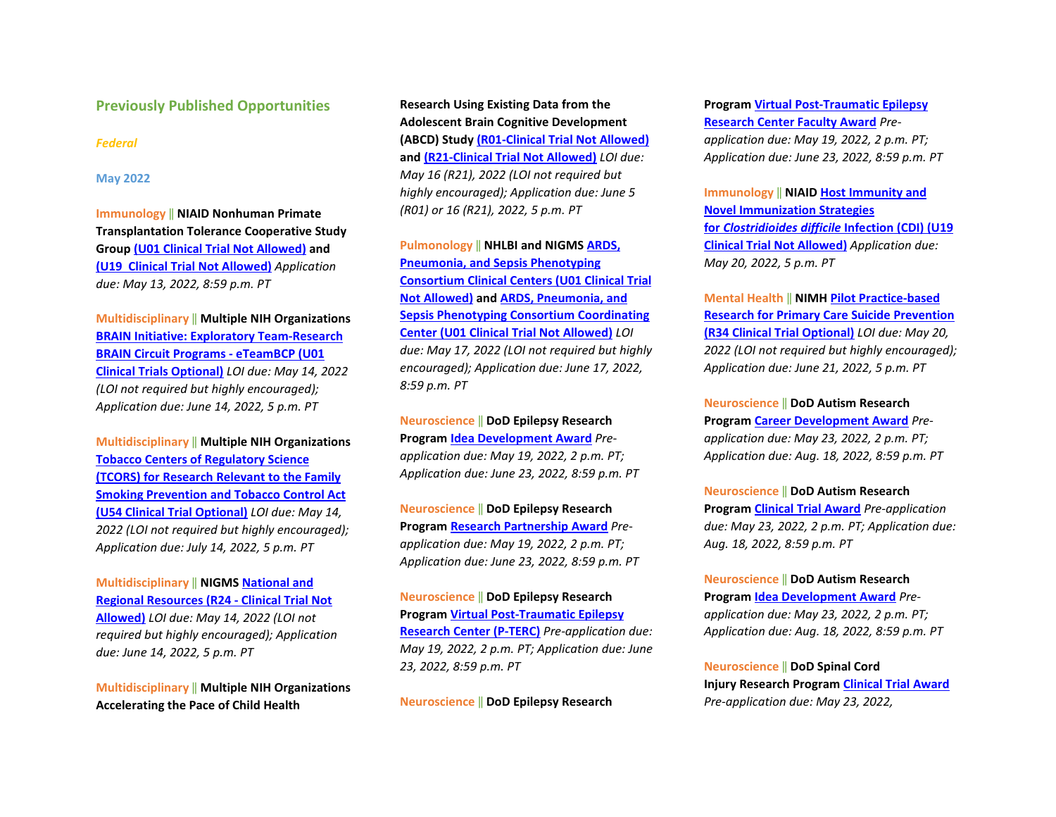#### **Previously Published Opportunities**

#### *Federal*

#### **May 2022**

**Immunology** ‖ **NIAID Nonhuman Primate Transplantation Tolerance Cooperative Study Grou[p \(U01 Clinical Trial Not Allowed\)](https://grants.nih.gov/grants/guide/rfa-files/RFA-AI-22-002.html) and [\(U19 Clinical Trial Not Allowed\)](https://grants.nih.gov/grants/guide/rfa-files/RFA-AI-22-003.html)** *Application due: May 13, 2022, 8:59 p.m. PT* 

**Multidisciplinary** ‖ **Multiple NIH Organizations [BRAIN Initiative: Exploratory Team-Research](https://grants.nih.gov/grants/guide/rfa-files/RFA-NS-22-028.html)  [BRAIN Circuit Programs - eTeamBCP \(U01](https://grants.nih.gov/grants/guide/rfa-files/RFA-NS-22-028.html)  [Clinical Trials Optional\)](https://grants.nih.gov/grants/guide/rfa-files/RFA-NS-22-028.html)** *LOI due: May 14, 2022 (LOI not required but highly encouraged); Application due: June 14, 2022, 5 p.m. PT* 

**Multidisciplinary** ‖ **Multiple NIH Organizations [Tobacco Centers of Regulatory Science](https://grants.nih.gov/grants/guide/rfa-files/RFA-OD-22-004.html)  [\(TCORS\) for Research Relevant to the Family](https://grants.nih.gov/grants/guide/rfa-files/RFA-OD-22-004.html)  [Smoking Prevention and Tobacco Control Act](https://grants.nih.gov/grants/guide/rfa-files/RFA-OD-22-004.html)  [\(U54 Clinical Trial Optional\)](https://grants.nih.gov/grants/guide/rfa-files/RFA-OD-22-004.html)** *LOI due: May 14, 2022 (LOI not required but highly encouraged); Application due: July 14, 2022, 5 p.m. PT*

**Multidisciplinary** ‖ **NIGM[S National and](https://grants.nih.gov/grants/guide/pa-files/PAR-22-065.html)  [Regional Resources \(R24 - Clinical Trial Not](https://grants.nih.gov/grants/guide/pa-files/PAR-22-065.html)  [Allowed\)](https://grants.nih.gov/grants/guide/pa-files/PAR-22-065.html)** *LOI due: May 14, 2022 (LOI not required but highly encouraged); Application due: June 14, 2022, 5 p.m. PT*

**Multidisciplinary** ‖ **Multiple NIH Organizations Accelerating the Pace of Child Health** 

**Research Using Existing Data from the Adolescent Brain Cognitive Development (ABCD) Stud[y \(R01-Clinical Trial Not Allowed\)](https://grants.nih.gov/grants/guide/pa-files/PAR-22-137.html) and [\(R21-Clinical Trial Not Allowed\)](https://grants.nih.gov/grants/guide/pa-files/PAR-22-138.html)** *LOI due: May 16 (R21), 2022 (LOI not required but highly encouraged); Application due: June 5 (R01) or 16 (R21), 2022, 5 p.m. PT* 

**Pulmonology** ‖ **NHLBI and NIGMS [ARDS,](https://grants.nih.gov/grants/guide/rfa-files/RFA-HL-23-001.html)  [Pneumonia, and Sepsis Phenotyping](https://grants.nih.gov/grants/guide/rfa-files/RFA-HL-23-001.html)  [Consortium Clinical Centers \(U01 Clinical Trial](https://grants.nih.gov/grants/guide/rfa-files/RFA-HL-23-001.html)  [Not Allowed\)](https://grants.nih.gov/grants/guide/rfa-files/RFA-HL-23-001.html) and [ARDS, Pneumonia, and](https://grants.nih.gov/grants/guide/rfa-files/RFA-HL-23-002.html)  [Sepsis Phenotyping Consortium Coordinating](https://grants.nih.gov/grants/guide/rfa-files/RFA-HL-23-002.html)  [Center \(U01 Clinical Trial Not Allowed\)](https://grants.nih.gov/grants/guide/rfa-files/RFA-HL-23-002.html)** *LOI due: May 17, 2022 (LOI not required but highly encouraged); Application due: June 17, 2022, 8:59 p.m. PT*

**Neuroscience** ‖ **DoD Epilepsy Research Program [Idea Development Award](https://cdmrp.army.mil/funding/erp)** *Preapplication due: May 19, 2022, 2 p.m. PT; Application due: June 23, 2022, 8:59 p.m. PT* 

**Neuroscience** ‖ **DoD Epilepsy Research Program [Research Partnership Award](https://cdmrp.army.mil/funding/erp)** *Preapplication due: May 19, 2022, 2 p.m. PT; Application due: June 23, 2022, 8:59 p.m. PT* 

**Neuroscience** ‖ **DoD Epilepsy Research Program [Virtual Post-Traumatic Epilepsy](https://cdmrp.army.mil/funding/erp)  [Research Center \(P-TERC\)](https://cdmrp.army.mil/funding/erp)** *Pre-application due: May 19, 2022, 2 p.m. PT; Application due: June 23, 2022, 8:59 p.m. PT* 

**Neuroscience** ‖ **DoD Epilepsy Research** 

### **Program [Virtual Post-Traumatic Epilepsy](https://cdmrp.army.mil/funding/erp)  [Research Center Faculty Award](https://cdmrp.army.mil/funding/erp)** *Pre-*

*application due: May 19, 2022, 2 p.m. PT; Application due: June 23, 2022, 8:59 p.m. PT*

**Immunology** ‖ **NIAI[D Host Immunity](https://grants.nih.gov/grants/guide/rfa-files/RFA-AI-22-001.html) and [Novel Immunization Strategies](https://grants.nih.gov/grants/guide/rfa-files/RFA-AI-22-001.html)  for** *[Clostridioides difficile](https://grants.nih.gov/grants/guide/rfa-files/RFA-AI-22-001.html)* **Infection (CDI) (U19 [Clinical Trial Not Allowed\)](https://grants.nih.gov/grants/guide/rfa-files/RFA-AI-22-001.html)** *Application due: May 20, 2022, 5 p.m. PT*

**Mental Health** ‖ **NIMH [Pilot Practice-based](https://grants.nih.gov/grants/guide/rfa-files/RFA-MH-22-120.html)  [Research for Primary Care Suicide Prevention](https://grants.nih.gov/grants/guide/rfa-files/RFA-MH-22-120.html)  [\(R34 Clinical Trial Optional\)](https://grants.nih.gov/grants/guide/rfa-files/RFA-MH-22-120.html)** *LOI due: May 20, 2022 (LOI not required but highly encouraged); Application due: June 21, 2022, 5 p.m. PT*

**Neuroscience** ‖ **DoD Autism Research Program [Career Development Award](https://cdmrp.army.mil/funding/arp)** *Preapplication due: May 23, 2022, 2 p.m. PT; Application due: Aug. 18, 2022, 8:59 p.m. PT* 

**Neuroscience** ‖ **DoD Autism Research Program [Clinical Trial Award](https://cdmrp.army.mil/funding/arp)** *Pre-application due: May 23, 2022, 2 p.m. PT; Application due: Aug. 18, 2022, 8:59 p.m. PT* 

**Neuroscience** ‖ **DoD Autism Research Program [Idea Development Award](https://cdmrp.army.mil/funding/arp)** *Preapplication due: May 23, 2022, 2 p.m. PT; Application due: Aug. 18, 2022, 8:59 p.m. PT* 

**Neuroscience** ‖ **DoD Spinal Cord Injury Research Progra[m Clinical Trial Award](https://cdmrp.army.mil/funding/scirp)** *Pre-application due: May 23, 2022,*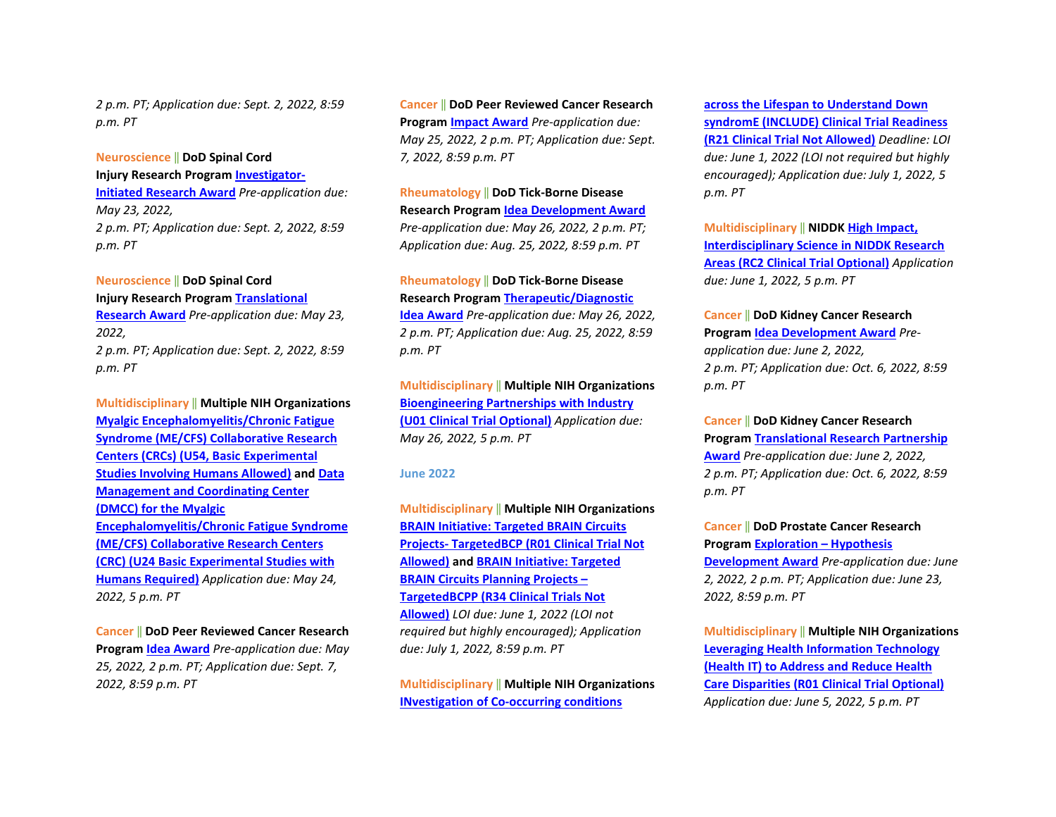*2 p.m. PT; Application due: Sept. 2, 2022, 8:59 p.m. PT* 

#### **Neuroscience** ‖ **DoD Spinal Cord**

**Injury Research Progra[m Investigator-](https://cdmrp.army.mil/funding/scirp)**

**[Initiated Research Award](https://cdmrp.army.mil/funding/scirp)** *Pre-application due: May 23, 2022, 2 p.m. PT; Application due: Sept. 2, 2022, 8:59 p.m. PT* 

# **Neuroscience** ‖ **DoD Spinal Cord**

**Injury Research Progra[m Translational](https://cdmrp.army.mil/funding/scirp)** 

**[Research Award](https://cdmrp.army.mil/funding/scirp)** *Pre-application due: May 23, 2022, 2 p.m. PT; Application due: Sept. 2, 2022, 8:59 p.m. PT*

**Multidisciplinary** ‖ **Multiple NIH Organizations [Myalgic Encephalomyelitis/Chronic Fatigue](https://grants.nih.gov/grants/guide/rfa-files/RFA-NS-22-019.html)  [Syndrome \(ME/CFS\) Collaborative Research](https://grants.nih.gov/grants/guide/rfa-files/RFA-NS-22-019.html)  [Centers \(CRCs\) \(U54, Basic Experimental](https://grants.nih.gov/grants/guide/rfa-files/RFA-NS-22-019.html)  [Studies Involving Humans Allowed\)](https://grants.nih.gov/grants/guide/rfa-files/RFA-NS-22-019.html) an[d Data](https://grants.nih.gov/grants/guide/rfa-files/RFA-NS-22-020.html)  [Management and Coordinating Center](https://grants.nih.gov/grants/guide/rfa-files/RFA-NS-22-020.html)  [\(DMCC\) for the Myalgic](https://grants.nih.gov/grants/guide/rfa-files/RFA-NS-22-020.html)  [Encephalomyelitis/Chronic Fatigue Syndrome](https://grants.nih.gov/grants/guide/rfa-files/RFA-NS-22-020.html)  [\(ME/CFS\) Collaborative Research Centers](https://grants.nih.gov/grants/guide/rfa-files/RFA-NS-22-020.html)  [\(CRC\) \(U24 Basic Experimental Studies with](https://grants.nih.gov/grants/guide/rfa-files/RFA-NS-22-020.html)  [Humans Required\)](https://grants.nih.gov/grants/guide/rfa-files/RFA-NS-22-020.html)** *Application due: May 24, 2022, 5 p.m. PT*

#### **Cancer** ‖ **DoD Peer Reviewed Cancer Research**

**Program [Idea Award](https://cdmrp.army.mil/funding/prcrp)** *Pre-application due: May 25, 2022, 2 p.m. PT; Application due: Sept. 7, 2022, 8:59 p.m. PT* 

**Cancer** ‖ **DoD Peer Reviewed Cancer Research Program [Impact Award](https://cdmrp.army.mil/funding/prcrp)** *Pre-application due: May 25, 2022, 2 p.m. PT; Application due: Sept. 7, 2022, 8:59 p.m. PT*

### **Rheumatology** ‖ **DoD Tick-Borne Disease**

**Research Program [Idea Development Award](https://cdmrp.army.mil/pubs/press/2022/22tbdrppreann)** *Pre-application due: May 26, 2022, 2 p.m. PT; Application due: Aug. 25, 2022, 8:59 p.m. PT* 

# **Rheumatology** ‖ **DoD Tick-Borne Disease Research Program [Therapeutic/Diagnostic](https://cdmrp.army.mil/pubs/press/2022/22tbdrppreann)**

**[Idea Award](https://cdmrp.army.mil/pubs/press/2022/22tbdrppreann)** *Pre-application due: May 26, 2022, 2 p.m. PT; Application due: Aug. 25, 2022, 8:59 p.m. PT*

**Multidisciplinary** ‖ **Multiple NIH Organizations [Bioengineering Partnerships with Industry](https://grants.nih.gov/grants/guide/pa-files/PAR-22-123.html)  [\(U01 Clinical Trial Optional\)](https://grants.nih.gov/grants/guide/pa-files/PAR-22-123.html)** *Application due: May 26, 2022, 5 p.m. PT* 

#### **June 2022**

**Multidisciplinary** ‖ **Multiple NIH Organizations [BRAIN Initiative: Targeted BRAIN Circuits](https://grants.nih.gov/grants/guide/rfa-files/RFA-NS-22-026.html)  [Projects- TargetedBCP \(R01 Clinical Trial Not](https://grants.nih.gov/grants/guide/rfa-files/RFA-NS-22-026.html)  [Allowed\)](https://grants.nih.gov/grants/guide/rfa-files/RFA-NS-22-026.html) an[d BRAIN Initiative: Targeted](https://grants.nih.gov/grants/guide/rfa-files/RFA-NS-22-027.html#_Part_1._Overview)  [BRAIN Circuits Planning Projects –](https://grants.nih.gov/grants/guide/rfa-files/RFA-NS-22-027.html#_Part_1._Overview)  [TargetedBCPP \(R34 Clinical Trials Not](https://grants.nih.gov/grants/guide/rfa-files/RFA-NS-22-027.html#_Part_1._Overview)  [Allowed\)](https://grants.nih.gov/grants/guide/rfa-files/RFA-NS-22-027.html#_Part_1._Overview)** *LOI due: June 1, 2022 (LOI not required but highly encouraged); Application due: July 1, 2022, 8:59 p.m. PT*

**Multidisciplinary** ‖ **Multiple NIH Organizations [INvestigation of Co-occurring conditions](https://grants.nih.gov/grants/guide/rfa-files/RFA-OD-22-007.html)** 

**[across the Lifespan to Understand Down](https://grants.nih.gov/grants/guide/rfa-files/RFA-OD-22-007.html)  [syndromE \(INCLUDE\) Clinical Trial Readiness](https://grants.nih.gov/grants/guide/rfa-files/RFA-OD-22-007.html)  [\(R21 Clinical Trial Not](https://grants.nih.gov/grants/guide/rfa-files/RFA-OD-22-007.html) Allowed)** *Deadline: LOI due: June 1, 2022 (LOI not required but highly encouraged); Application due: July 1, 2022, 5 p.m. PT*

**Multidisciplinary** ‖ **NIDDK [High Impact,](https://grants.nih.gov/grants/guide/pa-files/PAR-22-069.html)  [Interdisciplinary Science in NIDDK Research](https://grants.nih.gov/grants/guide/pa-files/PAR-22-069.html)  [Areas \(RC2 Clinical Trial Optional\)](https://grants.nih.gov/grants/guide/pa-files/PAR-22-069.html)** *Application due: June 1, 2022, 5 p.m. PT* 

#### **Cancer** ‖ **DoD Kidney Cancer Research**

**Program [Idea Development Award](https://cdmrp.army.mil/pubs/press/2022/22kcrppreann)** *Preapplication due: June 2, 2022, 2 p.m. PT; Application due: Oct. 6, 2022, 8:59 p.m. PT* 

#### **Cancer** ‖ **DoD Kidney Cancer Research**

**Program [Translational Research Partnership](https://cdmrp.army.mil/pubs/press/2022/22kcrppreann)  [Award](https://cdmrp.army.mil/pubs/press/2022/22kcrppreann)** *Pre-application due: June 2, 2022, 2 p.m. PT; Application due: Oct. 6, 2022, 8:59 p.m. PT* 

# **Cancer** ‖ **DoD Prostate Cancer Research Program [Exploration – Hypothesis](https://cdmrp.army.mil/pubs/press/2022/22pcrppreann)  [Development Award](https://cdmrp.army.mil/pubs/press/2022/22pcrppreann)** *Pre-application due: June 2, 2022, 2 p.m. PT; Application due: June 23,*

*2022, 8:59 p.m. PT*

**Multidisciplinary** ‖ **Multiple NIH Organizations [Leveraging Health Information Technology](https://grants.nih.gov/grants/guide/pa-files/PAR-22-145.html)  [\(Health IT\) to Address and Reduce Health](https://grants.nih.gov/grants/guide/pa-files/PAR-22-145.html)  [Care Disparities \(R01 Clinical Trial Optional\)](https://grants.nih.gov/grants/guide/pa-files/PAR-22-145.html)** *Application due: June 5, 2022, 5 p.m. PT*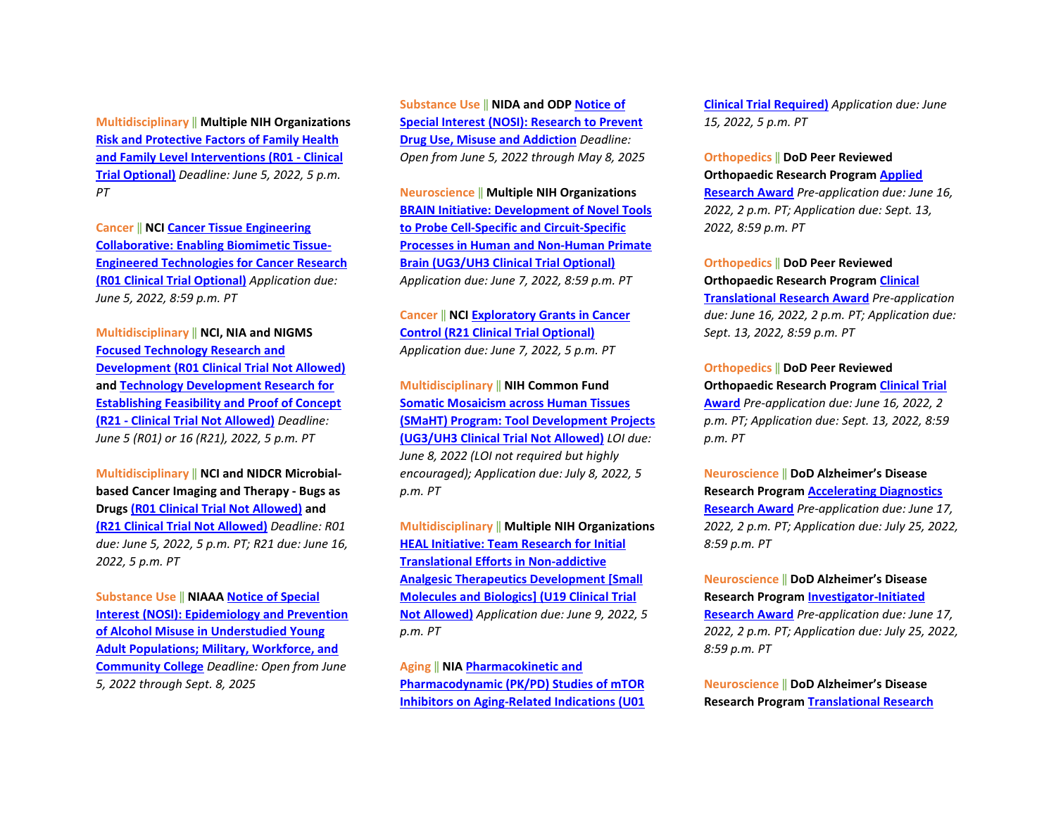**Multidisciplinary** ‖ **Multiple NIH Organizations [Risk and Protective Factors of Family Health](https://grants.nih.gov/grants/guide/pa-files/PAR-21-358.html)  [and Family Level Interventions \(R01 - Clinical](https://grants.nih.gov/grants/guide/pa-files/PAR-21-358.html)  [Trial Optional\)](https://grants.nih.gov/grants/guide/pa-files/PAR-21-358.html)** *Deadline: June 5, 2022, 5 p.m. PT*

**Cancer** ‖ **NC[I Cancer Tissue Engineering](https://grants.nih.gov/grants/guide/pa-files/PAR-22-099.html)  [Collaborative: Enabling Biomimetic Tissue-](https://grants.nih.gov/grants/guide/pa-files/PAR-22-099.html)[Engineered Technologies for Cancer Research](https://grants.nih.gov/grants/guide/pa-files/PAR-22-099.html)  [\(R01 Clinical Trial Optional\)](https://grants.nih.gov/grants/guide/pa-files/PAR-22-099.html)** *Application due: June 5, 2022, 8:59 p.m. PT* 

**Multidisciplinary** ‖ **NCI, NIA and NIGMS [Focused Technology Research and](https://grants.nih.gov/grants/guide/pa-files/PAR-22-127.html)  [Development \(R01 Clinical Trial Not Allowed\)](https://grants.nih.gov/grants/guide/pa-files/PAR-22-127.html) and [Technology Development Research for](https://grants.nih.gov/grants/guide/pa-files/PAR-22-126.html)  [Establishing Feasibility and Proof of Concept](https://grants.nih.gov/grants/guide/pa-files/PAR-22-126.html)  [\(R21 - Clinical Trial Not Allowed\)](https://grants.nih.gov/grants/guide/pa-files/PAR-22-126.html)** *Deadline: June 5 (R01) or 16 (R21), 2022, 5 p.m. PT*

**Multidisciplinary** ‖ **NCI and NIDCR Microbialbased Cancer Imaging and Therapy - Bugs as Drugs [\(R01 Clinical Trial Not Allowed\)](https://grants.nih.gov/grants/guide/pa-files/PAR-22-085.html) and [\(R21 Clinical Trial Not Allowed\)](https://grants.nih.gov/grants/guide/pa-files/PAR-22-086.html)** *Deadline: R01 due: June 5, 2022, 5 p.m. PT; R21 due: June 16, 2022, 5 p.m. PT*

**Substance Use** ‖ **NIAA[A Notice of Special](https://grants.nih.gov/grants/guide/notice-files/NOT-AA-22-001.html)  [Interest \(NOSI\): Epidemiology and Prevention](https://grants.nih.gov/grants/guide/notice-files/NOT-AA-22-001.html)  [of Alcohol Misuse in Understudied Young](https://grants.nih.gov/grants/guide/notice-files/NOT-AA-22-001.html)  [Adult Populations; Military, Workforce, and](https://grants.nih.gov/grants/guide/notice-files/NOT-AA-22-001.html)  [Community College](https://grants.nih.gov/grants/guide/notice-files/NOT-AA-22-001.html)** *Deadline: Open from June 5, 2022 through Sept. 8, 2025*

**Substance Use** ‖ **NIDA and ODP [Notice of](https://grants.nih.gov/grants/guide/notice-files/NOT-DA-23-001.html)  [Special Interest \(NOSI\): Research to Prevent](https://grants.nih.gov/grants/guide/notice-files/NOT-DA-23-001.html)  [Drug Use, Misuse and Addiction](https://grants.nih.gov/grants/guide/notice-files/NOT-DA-23-001.html)** *Deadline: Open from June 5, 2022 through May 8, 2025*

**Neuroscience** ‖ **Multiple NIH Organizations [BRAIN Initiative: Development of Novel Tools](https://grants.nih.gov/grants/guide/rfa-files/RFA-MH-22-115.html)  [to Probe Cell-Specific and Circuit-Specific](https://grants.nih.gov/grants/guide/rfa-files/RFA-MH-22-115.html)  [Processes in Human and Non-Human Primate](https://grants.nih.gov/grants/guide/rfa-files/RFA-MH-22-115.html)  [Brain \(UG3/UH3 Clinical Trial Optional\)](https://grants.nih.gov/grants/guide/rfa-files/RFA-MH-22-115.html)** *Application due: June 7, 2022, 8:59 p.m. PT*

### **Cancer** ‖ **NC[I Exploratory Grants in Cancer](https://grants.nih.gov/grants/guide/pa-files/PAR-21-341.html)  [Control \(R21 Clinical Trial Optional\)](https://grants.nih.gov/grants/guide/pa-files/PAR-21-341.html)** *Application due: June 7, 2022, 5 p.m. PT*

**Multidisciplinary** ‖ **NIH Common Fund [Somatic Mosaicism across Human Tissues](https://grants.nih.gov/grants/guide/rfa-files/RFA-RM-22-011.html)  [\(SMaHT\) Program: Tool Development Projects](https://grants.nih.gov/grants/guide/rfa-files/RFA-RM-22-011.html)  [\(UG3/UH3 Clinical Trial Not Allowed\)](https://grants.nih.gov/grants/guide/rfa-files/RFA-RM-22-011.html)** *LOI due: June 8, 2022 (LOI not required but highly encouraged); Application due: July 8, 2022, 5 p.m. PT*

**Multidisciplinary** ‖ **Multiple NIH Organizations [HEAL Initiative: Team Research for Initial](https://grants.nih.gov/grants/guide/rfa-files/RFA-NS-22-052.html)  [Translational Efforts in Non-addictive](https://grants.nih.gov/grants/guide/rfa-files/RFA-NS-22-052.html)  [Analgesic Therapeutics Development \[Small](https://grants.nih.gov/grants/guide/rfa-files/RFA-NS-22-052.html)  [Molecules and Biologics\] \(U19 Clinical Trial](https://grants.nih.gov/grants/guide/rfa-files/RFA-NS-22-052.html)  [Not Allowed\)](https://grants.nih.gov/grants/guide/rfa-files/RFA-NS-22-052.html)** *Application due: June 9, 2022, 5 p.m. PT*

**Aging** ‖ **NI[A Pharmacokinetic and](https://grants.nih.gov/grants/guide/rfa-files/RFA-AG-23-008.html)  [Pharmacodynamic \(PK/PD\) Studies of mTOR](https://grants.nih.gov/grants/guide/rfa-files/RFA-AG-23-008.html)  [Inhibitors on Aging-Related Indications \(U01](https://grants.nih.gov/grants/guide/rfa-files/RFA-AG-23-008.html)**  **[Clinical Trial Required\)](https://grants.nih.gov/grants/guide/rfa-files/RFA-AG-23-008.html)** *Application due: June 15, 2022, 5 p.m. PT* 

**Orthopedics** ‖ **DoD Peer Reviewed Orthopaedic Research Program [Applied](https://cdmrp.army.mil/prorp/default)** 

**[Research Award](https://cdmrp.army.mil/prorp/default)** *Pre-application due: June 16, 2022, 2 p.m. PT; Application due: Sept. 13, 2022, 8:59 p.m. PT* 

**Orthopedics** ‖ **DoD Peer Reviewed Orthopaedic Research Program [Clinical](https://cdmrp.army.mil/prorp/default)** 

**[Translational Research Award](https://cdmrp.army.mil/prorp/default)** *Pre-application due: June 16, 2022, 2 p.m. PT; Application due: Sept. 13, 2022, 8:59 p.m. PT* 

**Orthopedics** ‖ **DoD Peer Reviewed** 

**Orthopaedic Research Program [Clinical Trial](https://cdmrp.army.mil/prorp/default)  [Award](https://cdmrp.army.mil/prorp/default)** *Pre-application due: June 16, 2022, 2* 

*p.m. PT; Application due: Sept. 13, 2022, 8:59 p.m. PT*

**Neuroscience** ‖ **DoD Alzheimer's Disease Research Program [Accelerating Diagnostics](https://cdmrp.army.mil/funding/prarp)  [Research Award](https://cdmrp.army.mil/funding/prarp)** *Pre-application due: June 17, 2022, 2 p.m. PT; Application due: July 25, 2022, 8:59 p.m. PT* 

**Neuroscience** ‖ **DoD Alzheimer's Disease Research Program [Investigator-Initiated](https://cdmrp.army.mil/funding/prarp)  [Research Award](https://cdmrp.army.mil/funding/prarp)** *Pre-application due: June 17, 2022, 2 p.m. PT; Application due: July 25, 2022, 8:59 p.m. PT* 

**Neuroscience** ‖ **DoD Alzheimer's Disease Research Program [Translational Research](https://cdmrp.army.mil/funding/prarp)**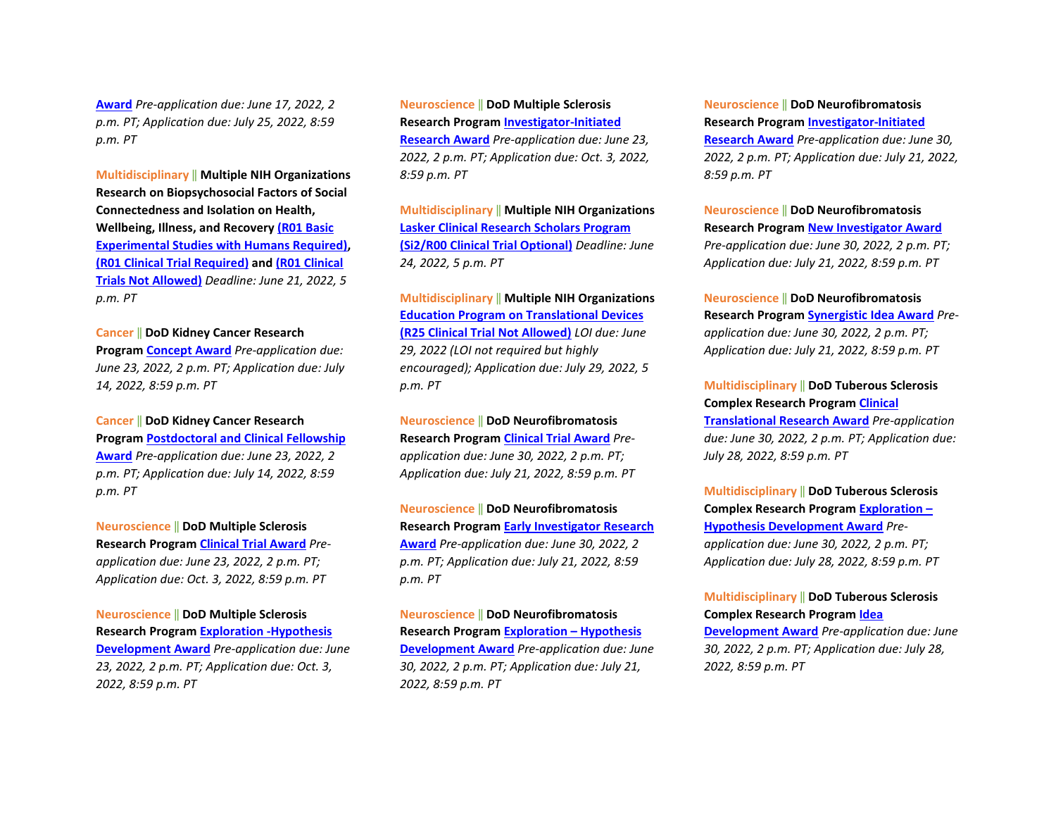**[Award](https://cdmrp.army.mil/funding/prarp)** *Pre-application due: June 17, 2022, 2 p.m. PT; Application due: July 25, 2022, 8:59 p.m. PT*

**Multidisciplinary** ‖ **Multiple NIH Organizations Research on Biopsychosocial Factors of Social Connectedness and Isolation on Health, Wellbeing, Illness, and Recovery [\(R01 Basic](https://grants.nih.gov/grants/guide/pa-files/PAR-21-349.html)  [Experimental Studies with](https://grants.nih.gov/grants/guide/pa-files/PAR-21-349.html) Humans Required), [\(R01 Clinical Trial Required\)](https://grants.nih.gov/grants/guide/pa-files/PAR-21-352.html) an[d \(R01 Clinical](https://grants.nih.gov/grants/guide/pa-files/PAR-21-350.html)  [Trials Not Allowed\)](https://grants.nih.gov/grants/guide/pa-files/PAR-21-350.html)** *Deadline: June 21, 2022, 5 p.m. PT*

#### **Cancer** ‖ **DoD Kidney Cancer Research**

**Program [Concept Award](https://cdmrp.army.mil/pubs/press/2022/22kcrppreann)** *Pre-application due: June 23, 2022, 2 p.m. PT; Application due: July 14, 2022, 8:59 p.m. PT* 

**Cancer** ‖ **DoD Kidney Cancer Research Program [Postdoctoral and Clinical Fellowship](https://cdmrp.army.mil/pubs/press/2022/22kcrppreann)  [Award](https://cdmrp.army.mil/pubs/press/2022/22kcrppreann)** *Pre-application due: June 23, 2022, 2 p.m. PT; Application due: July 14, 2022, 8:59 p.m. PT*

**Neuroscience** ‖ **DoD Multiple Sclerosis Research Program [Clinical Trial Award](https://cdmrp.army.mil/funding/msrp)** *Preapplication due: June 23, 2022, 2 p.m. PT; Application due: Oct. 3, 2022, 8:59 p.m. PT* 

**Neuroscience** ‖ **DoD Multiple Sclerosis Research Program [Exploration -Hypothesis](https://cdmrp.army.mil/funding/msrp)  [Development Award](https://cdmrp.army.mil/funding/msrp)** *Pre-application due: June 23, 2022, 2 p.m. PT; Application due: Oct. 3, 2022, 8:59 p.m. PT* 

**Neuroscience** ‖ **DoD Multiple Sclerosis Research Program [Investigator-Initiated](https://cdmrp.army.mil/funding/msrp)  [Research Award](https://cdmrp.army.mil/funding/msrp)** *Pre-application due: June 23, 2022, 2 p.m. PT; Application due: Oct. 3, 2022, 8:59 p.m. PT*

**Multidisciplinary** ‖ **Multiple NIH Organizations [Lasker Clinical Research Scholars Program](https://grants.nih.gov/grants/guide/pa-files/PAR-22-078.html)  [\(Si2/R00 Clinical Trial Optional\)](https://grants.nih.gov/grants/guide/pa-files/PAR-22-078.html)** *Deadline: June 24, 2022, 5 p.m. PT*

**Multidisciplinary** ‖ **Multiple NIH Organizations [Education Program on Translational Devices](https://grants.nih.gov/grants/guide/pa-files/PAR-22-146.html)  [\(R25 Clinical Trial Not Allowed\)](https://grants.nih.gov/grants/guide/pa-files/PAR-22-146.html)** *LOI due: June 29, 2022 (LOI not required but highly encouraged); Application due: July 29, 2022, 5 p.m. PT*

**Neuroscience** ‖ **DoD Neurofibromatosis Research Program [Clinical Trial Award](https://cdmrp.army.mil/pubs/press/2022/22nfrppreann)** *Preapplication due: June 30, 2022, 2 p.m. PT; Application due: July 21, 2022, 8:59 p.m. PT* 

**Neuroscience** ‖ **DoD Neurofibromatosis Research Program [Early Investigator Research](https://cdmrp.army.mil/pubs/press/2022/22nfrppreann)  [Award](https://cdmrp.army.mil/pubs/press/2022/22nfrppreann)** *Pre-application due: June 30, 2022, 2 p.m. PT; Application due: July 21, 2022, 8:59 p.m. PT* 

**Neuroscience** ‖ **DoD Neurofibromatosis Research Program [Exploration – Hypothesis](https://cdmrp.army.mil/pubs/press/2022/22nfrppreann)  [Development Award](https://cdmrp.army.mil/pubs/press/2022/22nfrppreann)** *Pre-application due: June 30, 2022, 2 p.m. PT; Application due: July 21, 2022, 8:59 p.m. PT* 

**Neuroscience** ‖ **DoD Neurofibromatosis Research Program [Investigator-Initiated](https://cdmrp.army.mil/pubs/press/2022/22nfrppreann)** 

**[Research Award](https://cdmrp.army.mil/pubs/press/2022/22nfrppreann)** *Pre-application due: June 30, 2022, 2 p.m. PT; Application due: July 21, 2022, 8:59 p.m. PT* 

**Neuroscience** ‖ **DoD Neurofibromatosis Research Program [New Investigator Award](https://cdmrp.army.mil/pubs/press/2022/22nfrppreann)** *Pre-application due: June 30, 2022, 2 p.m. PT; Application due: July 21, 2022, 8:59 p.m. PT* 

**Neuroscience** ‖ **DoD Neurofibromatosis Research Program [Synergistic Idea Award](https://cdmrp.army.mil/pubs/press/2022/22nfrppreann)** *Preapplication due: June 30, 2022, 2 p.m. PT; Application due: July 21, 2022, 8:59 p.m. PT*

**Multidisciplinary** ‖ **DoD Tuberous Sclerosis Complex Research Progra[m Clinical](https://cdmrp.army.mil/funding/tscrp)  [Translational Research Award](https://cdmrp.army.mil/funding/tscrp)** *Pre-application due: June 30, 2022, 2 p.m. PT; Application due: July 28, 2022, 8:59 p.m. PT* 

**Multidisciplinary** ‖ **DoD Tuberous Sclerosis Complex Research Progra[m Exploration –](https://cdmrp.army.mil/funding/tscrp)  [Hypothesis Development Award](https://cdmrp.army.mil/funding/tscrp)** *Preapplication due: June 30, 2022, 2 p.m. PT; Application due: July 28, 2022, 8:59 p.m. PT* 

### **Multidisciplinary** ‖ **DoD Tuberous Sclerosis Complex Research Progra[m Idea](https://cdmrp.army.mil/funding/tscrp)**

**[Development Award](https://cdmrp.army.mil/funding/tscrp)** *Pre-application due: June 30, 2022, 2 p.m. PT; Application due: July 28, 2022, 8:59 p.m. PT*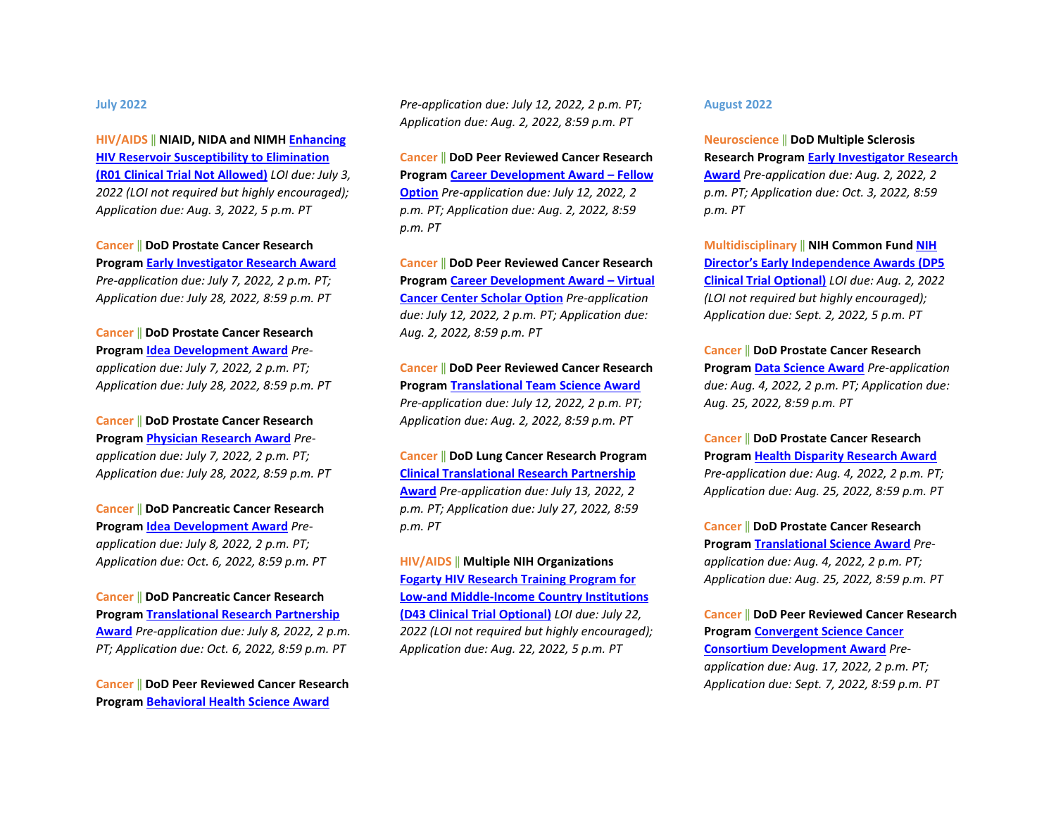#### **July 2022**

**HIV/AIDS** ‖ **NIAID, NIDA and NIMH [Enhancing](https://grants.nih.gov/grants/guide/rfa-files/RFA-AI-22-025.html)  [HIV Reservoir Susceptibility to Elimination](https://grants.nih.gov/grants/guide/rfa-files/RFA-AI-22-025.html)  [\(R01 Clinical Trial Not Allowed\)](https://grants.nih.gov/grants/guide/rfa-files/RFA-AI-22-025.html)** *LOI due: July 3, 2022 (LOI not required but highly encouraged); Application due: Aug. 3, 2022, 5 p.m. PT*

**Cancer** ‖ **DoD Prostate Cancer Research Program [Early Investigator Research Award](https://cdmrp.army.mil/pubs/press/2022/22pcrppreann)** *Pre-application due: July 7, 2022, 2 p.m. PT; Application due: July 28, 2022, 8:59 p.m. PT* 

**Cancer** ‖ **DoD Prostate Cancer Research Program [Idea Development Award](https://cdmrp.army.mil/pubs/press/2022/22pcrppreann)** *Preapplication due: July 7, 2022, 2 p.m. PT; Application due: July 28, 2022, 8:59 p.m. PT* 

**Cancer** ‖ **DoD Prostate Cancer Research Program [Physician Research Award](https://cdmrp.army.mil/pubs/press/2022/22pcrppreann)** *Preapplication due: July 7, 2022, 2 p.m. PT; Application due: July 28, 2022, 8:59 p.m. PT*

**Cancer** ‖ **DoD Pancreatic Cancer Research Program [Idea Development Award](https://cdmrp.army.mil/funding/pa/W81XWH-22-PCARP-IDA-GG.pdf)** *Preapplication due: July 8, 2022, 2 p.m. PT; Application due: Oct. 6, 2022, 8:59 p.m. PT* 

**Cancer** ‖ **DoD Pancreatic Cancer Research Program [Translational Research Partnership](https://cdmrp.army.mil/funding/pa/W81XWH-22-PCARP-IDA-GG.pdf)  [Award](https://cdmrp.army.mil/funding/pa/W81XWH-22-PCARP-IDA-GG.pdf)** *Pre-application due: July 8, 2022, 2 p.m. PT; Application due: Oct. 6, 2022, 8:59 p.m. PT*

**Cancer** ‖ **DoD Peer Reviewed Cancer Research Program [Behavioral Health Science Award](https://cdmrp.army.mil/funding/prcrp)**

*Pre-application due: July 12, 2022, 2 p.m. PT; Application due: Aug. 2, 2022, 8:59 p.m. PT* 

**Cancer** ‖ **DoD Peer Reviewed Cancer Research Program [Career Development Award – Fellow](https://cdmrp.army.mil/funding/prcrp)  [Option](https://cdmrp.army.mil/funding/prcrp)** *Pre-application due: July 12, 2022, 2 p.m. PT; Application due: Aug. 2, 2022, 8:59 p.m. PT* 

**Cancer** ‖ **DoD Peer Reviewed Cancer Research Program [Career Development Award – Virtual](https://cdmrp.army.mil/funding/prcrp)  [Cancer Center Scholar Option](https://cdmrp.army.mil/funding/prcrp)** *Pre-application due: July 12, 2022, 2 p.m. PT; Application due: Aug. 2, 2022, 8:59 p.m. PT* 

**Cancer** ‖ **DoD Peer Reviewed Cancer Research Program [Translational Team Science Award](https://cdmrp.army.mil/funding/prcrp)** *Pre-application due: July 12, 2022, 2 p.m. PT; Application due: Aug. 2, 2022, 8:59 p.m. PT*

**Cancer** ‖ **DoD Lung Cancer Research Program [Clinical Translational Research Partnership](https://cdmrp.army.mil/pubs/press/2022/22lcrppreann)  [Award](https://cdmrp.army.mil/pubs/press/2022/22lcrppreann)** *Pre-application due: July 13, 2022, 2 p.m. PT; Application due: July 27, 2022, 8:59 p.m. PT*

**HIV/AIDS** ‖ **Multiple NIH Organizations [Fogarty HIV Research Training Program for](https://grants.nih.gov/grants/guide/pa-files/PAR-22-151.html)  [Low-and Middle-Income Country Institutions](https://grants.nih.gov/grants/guide/pa-files/PAR-22-151.html)  [\(D43 Clinical Trial Optional\)](https://grants.nih.gov/grants/guide/pa-files/PAR-22-151.html)** *LOI due: July 22, 2022 (LOI not required but highly encouraged); Application due: Aug. 22, 2022, 5 p.m. PT*

#### **August 2022**

**Neuroscience** ‖ **DoD Multiple Sclerosis Research Program [Early Investigator Research](https://cdmrp.army.mil/funding/msrp)  [Award](https://cdmrp.army.mil/funding/msrp)** *Pre-application due: Aug. 2, 2022, 2 p.m. PT; Application due: Oct. 3, 2022, 8:59 p.m. PT*

**Multidisciplinary** ‖ **NIH Common Fund [NIH](https://grants.nih.gov/grants/guide/rfa-files/RFA-RM-22-021.html)  [Director's Early Independence Awards \(DP5](https://grants.nih.gov/grants/guide/rfa-files/RFA-RM-22-021.html)  [Clinical Trial Optional\)](https://grants.nih.gov/grants/guide/rfa-files/RFA-RM-22-021.html)** *LOI due: Aug. 2, 2022 (LOI not required but highly encouraged); Application due: Sept. 2, 2022, 5 p.m. PT*

**Cancer** ‖ **DoD Prostate Cancer Research Program [Data Science Award](https://cdmrp.army.mil/pubs/press/2022/22pcrppreann)** *Pre-application due: Aug. 4, 2022, 2 p.m. PT; Application due: Aug. 25, 2022, 8:59 p.m. PT* 

**Cancer** ‖ **DoD Prostate Cancer Research Program [Health Disparity Research Award](https://cdmrp.army.mil/pubs/press/2022/22pcrppreann)** *Pre-application due: Aug. 4, 2022, 2 p.m. PT; Application due: Aug. 25, 2022, 8:59 p.m. PT*

**Cancer** ‖ **DoD Prostate Cancer Research Program [Translational Science Award](https://cdmrp.army.mil/pubs/press/2022/22pcrppreann)** *Preapplication due: Aug. 4, 2022, 2 p.m. PT; Application due: Aug. 25, 2022, 8:59 p.m. PT*

**Cancer** ‖ **DoD Peer Reviewed Cancer Research Program [Convergent Science Cancer](https://cdmrp.army.mil/funding/prcrp)  [Consortium Development Award](https://cdmrp.army.mil/funding/prcrp)** *Preapplication due: Aug. 17, 2022, 2 p.m. PT; Application due: Sept. 7, 2022, 8:59 p.m. PT*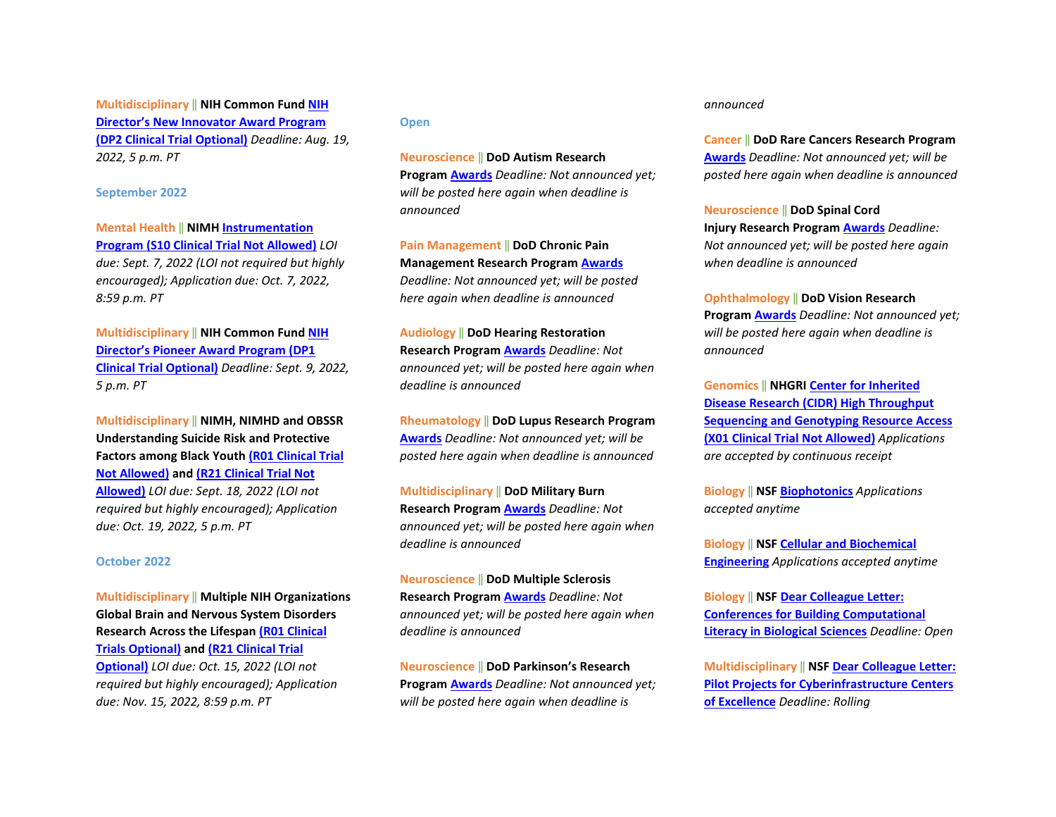**Multidisciplinary** ‖ **NIH Common Fund [NIH](https://grants.nih.gov/grants/guide/rfa-files/RFA-RM-22-019.html)  [Director's New Innovator Award Program](https://grants.nih.gov/grants/guide/rfa-files/RFA-RM-22-019.html)  [\(DP2 Clinical Trial Optional\)](https://grants.nih.gov/grants/guide/rfa-files/RFA-RM-22-019.html)** *Deadline: Aug. 19, 2022, 5 p.m. PT*

#### **September 2022**

**Mental Health** ‖ **NIMH [Instrumentation](https://grants.nih.gov/grants/guide/rfa-files/RFA-MH-22-155.html)  [Program \(S10 Clinical Trial Not Allowed\)](https://grants.nih.gov/grants/guide/rfa-files/RFA-MH-22-155.html)** *LOI due: Sept. 7, 2022 (LOI not required but highly encouraged); Application due: Oct. 7, 2022, 8:59 p.m. PT*

**Multidisciplinary** ‖ **NIH Common Fund [NIH](https://grants.nih.gov/grants/guide/rfa-files/RFA-RM-22-018.html)  [Director's Pioneer Award Program \(DP1](https://grants.nih.gov/grants/guide/rfa-files/RFA-RM-22-018.html)  [Clinical Trial Optional\)](https://grants.nih.gov/grants/guide/rfa-files/RFA-RM-22-018.html)** *Deadline: Sept. 9, 2022, 5 p.m. PT*

**Multidisciplinary** ‖ **NIMH, NIMHD and OBSSR Understanding Suicide Risk and Protective Factors among Black Yout[h \(R01 Clinical Trial](https://grants.nih.gov/grants/guide/rfa-files/RFA-MH-22-140.html)  [Not Allowed\)](https://grants.nih.gov/grants/guide/rfa-files/RFA-MH-22-140.html) and [\(R21 Clinical Trial Not](https://grants.nih.gov/grants/guide/rfa-files/RFA-MH-22-141.html)  [Allowed\)](https://grants.nih.gov/grants/guide/rfa-files/RFA-MH-22-141.html)** *LOI due: Sept. 18, 2022 (LOI not required but highly encouraged); Application due: Oct. 19, 2022, 5 p.m. PT*

#### **October 2022**

**Multidisciplinary** ‖ **Multiple NIH Organizations Global Brain and Nervous System Disorders Research Across the Lifespa[n \(R01 Clinical](https://grants.nih.gov/grants/guide/pa-files/PAR-22-097.html)  [Trials Optional\)](https://grants.nih.gov/grants/guide/pa-files/PAR-22-097.html) and [\(R21 Clinical Trial](https://grants.nih.gov/grants/guide/pa-files/PAR-22-098.html)  [Optional\)](https://grants.nih.gov/grants/guide/pa-files/PAR-22-098.html)** *LOI due: Oct. 15, 2022 (LOI not required but highly encouraged); Application due: Nov. 15, 2022, 8:59 p.m. PT*

#### **Open**

**Neuroscience** ‖ **DoD Autism Research Program [Awards](https://cdmrp.army.mil/pubs/press/2022/22arppreann)** *Deadline: Not announced yet; will be posted here again when deadline is announced*

**Pain Management** ‖ **DoD Chronic Pain Management Research Program [Awards](https://cdmrp.army.mil/pubs/press/2022/22cpmrppreann)** *Deadline: Not announced yet; will be posted here again when deadline is announced*

**Audiology** ‖ **DoD Hearing Restoration Research Program [Awards](https://cdmrp.army.mil/pubs/press/2022/22hrrppreann)** *Deadline: Not announced yet; will be posted here again when deadline is announced*

**Rheumatology** ‖ **DoD Lupus Research Program [Awards](https://cdmrp.army.mil/pubs/press/2022/22lrppreann)** *Deadline: Not announced yet; will be posted here again when deadline is announced*

**Multidisciplinary** ‖ **DoD Military Burn Research Program [Awards](https://cdmrp.army.mil/pubs/press/2022/22mbrppreann)** *Deadline: Not announced yet; will be posted here again when deadline is announced*

**Neuroscience** ‖ **DoD Multiple Sclerosis Research Program [Awards](https://cdmrp.army.mil/pubs/press/2022/22msrppreann)** *Deadline: Not announced yet; will be posted here again when deadline is announced* 

**Neuroscience** ‖ **DoD Parkinson's Research Program [Awards](https://cdmrp.army.mil/pubs/press/2022/22prppreann)** *Deadline: Not announced yet; will be posted here again when deadline is* 

#### *announced*

**Cancer** ‖ **DoD Rare Cancers Research Program [Awards](https://cdmrp.army.mil/pubs/press/2022/22rcrppreann)** *Deadline: Not announced yet; will be posted here again when deadline is announced*

**Neuroscience** ‖ **DoD Spinal Cord Injury Research Progra[m Awards](https://cdmrp.army.mil/pubs/press/2022/22scirppreann)** *Deadline: Not announced yet; will be posted here again when deadline is announced* 

**Ophthalmology** ‖ **DoD Vision Research Program [Awards](https://cdmrp.army.mil/pubs/press/2022/22vrppreann)** *Deadline: Not announced yet; will be posted here again when deadline is announced*

**Genomics** ‖ **NHGRI [Center for Inherited](https://grants.nih.gov/grants/guide/pa-files/PAR-20-230.html)  [Disease Research \(CIDR\) High Throughput](https://grants.nih.gov/grants/guide/pa-files/PAR-20-230.html)  [Sequencing and Genotyping Resource Access](https://grants.nih.gov/grants/guide/pa-files/PAR-20-230.html)  [\(X01 Clinical Trial Not Allowed\)](https://grants.nih.gov/grants/guide/pa-files/PAR-20-230.html)** *Applications are accepted by continuous receipt* 

**Biology** ‖ **NSF [Biophotonics](https://www.nsf.gov/funding/pgm_summ.jsp?pims_id=505719)** *Applications accepted anytime*

**Biology** ‖ **NSF [Cellular and Biochemical](https://www.nsf.gov/funding/pgm_summ.jsp?pims_id=505721)  [Engineering](https://www.nsf.gov/funding/pgm_summ.jsp?pims_id=505721)** *Applications accepted anytime* 

**Biology** ‖ **NSF [Dear Colleague Letter:](https://www.nsf.gov/pubs/2020/nsf20074/nsf20074.jsp?WT.mc_id=USNSF_25&WT.mc_ev=click)  [Conferences for Building Computational](https://www.nsf.gov/pubs/2020/nsf20074/nsf20074.jsp?WT.mc_id=USNSF_25&WT.mc_ev=click)  [Literacy in Biological Sciences](https://www.nsf.gov/pubs/2020/nsf20074/nsf20074.jsp?WT.mc_id=USNSF_25&WT.mc_ev=click)** *Deadline: Open* 

**Multidisciplinary** ‖ **NS[F Dear Colleague Letter:](https://www.nsf.gov/pubs/2021/nsf21037/nsf21037.jsp?WT.mc_id=USNSF_25&WT.mc_ev=click)  [Pilot Projects for Cyberinfrastructure Centers](https://www.nsf.gov/pubs/2021/nsf21037/nsf21037.jsp?WT.mc_id=USNSF_25&WT.mc_ev=click)  [of Excellence](https://www.nsf.gov/pubs/2021/nsf21037/nsf21037.jsp?WT.mc_id=USNSF_25&WT.mc_ev=click)** *Deadline: Rolling*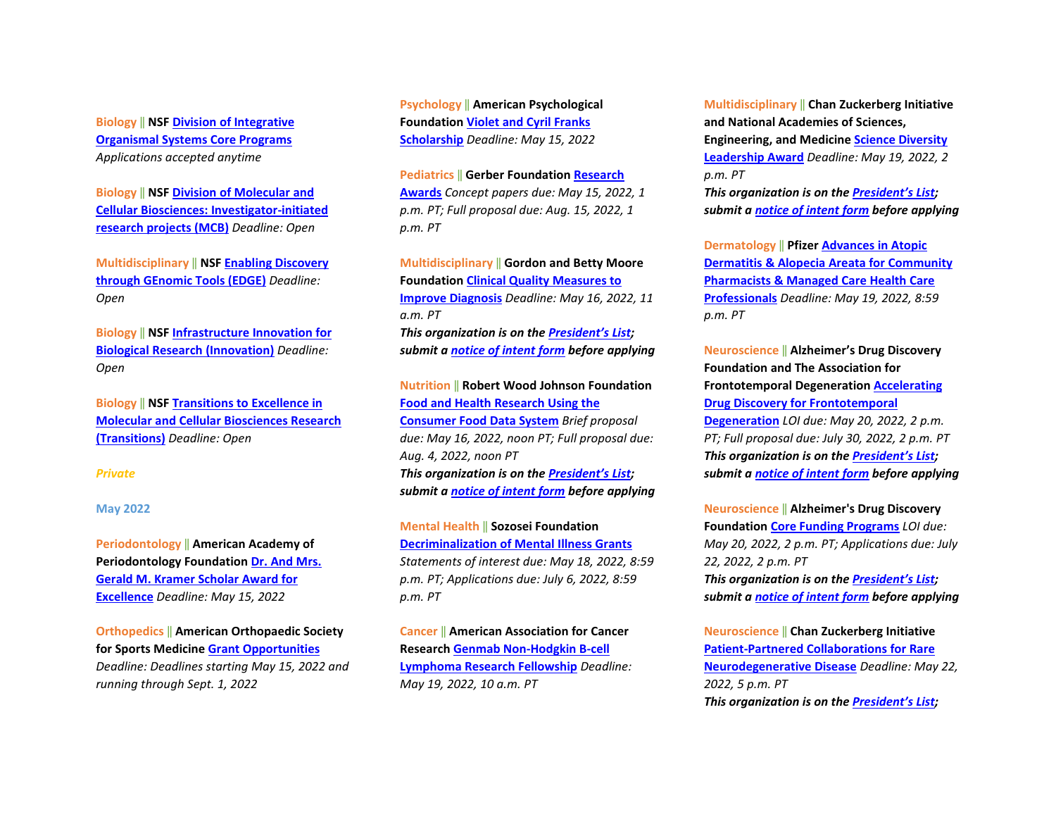**Biology** ‖ **NSF [Division of Integrative](https://www.nsf.gov/pubs/2020/nsf20536/nsf20536.htm?WT.mc_id=USNSF_25&WT.mc_ev=click)  [Organismal Systems Core Programs](https://www.nsf.gov/pubs/2020/nsf20536/nsf20536.htm?WT.mc_id=USNSF_25&WT.mc_ev=click)** *Applications accepted anytime* 

**Biology** ‖ **NSF [Division of Molecular and](https://www.nsf.gov/pubs/2021/nsf21509/nsf21509.htm?WT.mc_id=USNSF_25&WT.mc_ev=click)  [Cellular Biosciences: Investigator-initiated](https://www.nsf.gov/pubs/2021/nsf21509/nsf21509.htm?WT.mc_id=USNSF_25&WT.mc_ev=click)  [research projects \(MCB\)](https://www.nsf.gov/pubs/2021/nsf21509/nsf21509.htm?WT.mc_id=USNSF_25&WT.mc_ev=click)** *Deadline: Open*

**Multidisciplinary** ‖ **NS[F Enabling Discovery](https://www.nsf.gov/pubs/2020/nsf20532/nsf20532.htm?WT.mc_id=USNSF_25&WT.mc_ev=click)  [through GEnomic Tools \(EDGE\)](https://www.nsf.gov/pubs/2020/nsf20532/nsf20532.htm?WT.mc_id=USNSF_25&WT.mc_ev=click)** *Deadline: Open* 

**Biology** ‖ **NSF [Infrastructure Innovation for](https://www.nsf.gov/pubs/2021/nsf21502/nsf21502.htm?WT.mc_id=USNSF_25&WT.mc_ev=click)  [Biological Research \(Innovation\)](https://www.nsf.gov/pubs/2021/nsf21502/nsf21502.htm?WT.mc_id=USNSF_25&WT.mc_ev=click)** *Deadline: Open* 

**Biology** ‖ **NSF [Transitions to Excellence in](https://www.nsf.gov/pubs/2021/nsf21508/nsf21508.htm?WT.mc_id=USNSF_25&WT.mc_ev=click)  [Molecular and Cellular Biosciences Research](https://www.nsf.gov/pubs/2021/nsf21508/nsf21508.htm?WT.mc_id=USNSF_25&WT.mc_ev=click)  [\(Transitions\)](https://www.nsf.gov/pubs/2021/nsf21508/nsf21508.htm?WT.mc_id=USNSF_25&WT.mc_ev=click)** *Deadline: Open*

#### *Private*

#### **May 2022**

**Periodontology** ‖ **American Academy of Periodontology Foundation [Dr. And Mrs.](https://www.periofoundation.org/awards/29-education-awards/20-dr-and-mrs-gerald-m-kramer-scholar-award-for-excellence)  [Gerald M. Kramer Scholar Award for](https://www.periofoundation.org/awards/29-education-awards/20-dr-and-mrs-gerald-m-kramer-scholar-award-for-excellence)  [Excellence](https://www.periofoundation.org/awards/29-education-awards/20-dr-and-mrs-gerald-m-kramer-scholar-award-for-excellence)** *Deadline: May 15, 2022* 

**Orthopedics** ‖ **American Orthopaedic Society for Sports Medicine [Grant Opportunities](https://www.sportsmed.org/research/grants)** *Deadline: Deadlines starting May 15, 2022 and running through Sept. 1, 2022*

**Psychology** ‖ **American Psychological Foundation [Violet and Cyril Franks](https://www.apa.org/apf/funding/franks?tab=1)  [Scholarship](https://www.apa.org/apf/funding/franks?tab=1)** *Deadline: May 15, 2022* 

**Pediatrics** ‖ **Gerber Foundatio[n Research](https://www.gerberfoundation.org/how-to-apply/)  [Awards](https://www.gerberfoundation.org/how-to-apply/)** *Concept papers due: May 15, 2022, 1 p.m. PT; Full proposal due: Aug. 15, 2022, 1 p.m. PT* 

**Multidisciplinary** ‖ **Gordon and Betty Moore Foundation [Clinical Quality Measures to](https://moore-patientcare.smapply.io/prog/request_for_proposals/)  [Improve Diagnosis](https://moore-patientcare.smapply.io/prog/request_for_proposals/)** *Deadline: May 16, 2022, 11 a.m. PT* *This organization is on th[e President's List;](https://o2.ohsu.edu/foundations/research-program-grants/ohsu-presidents-list/index.cfm)  submit a [notice of intent form](https://app.smartsheet.com/b/form?EQBCT=b4b914967b774308b1947bbf8ab27b15) before applying* 

**Nutrition** ‖ **Robert Wood Johnson Foundation [Food and Health Research Using the](https://www.rwjf.org/en/library/funding-opportunities/2022/consumer-food-data-system-grant-competition-for-food-and-health-research.html)  [Consumer Food Data System](https://www.rwjf.org/en/library/funding-opportunities/2022/consumer-food-data-system-grant-competition-for-food-and-health-research.html)** *Brief proposal due: May 16, 2022, noon PT; Full proposal due: Aug. 4, 2022, noon PT* *This organization is on th[e President's List;](https://o2.ohsu.edu/foundations/research-program-grants/ohsu-presidents-list/index.cfm)  submit a [notice of intent form](https://app.smartsheet.com/b/form?EQBCT=b4b914967b774308b1947bbf8ab27b15) before applying* 

**Mental Health** ‖ **Sozosei Foundation [Decriminalization of Mental Illness Grants](https://sozosei22q1r51.prod.oapi.com/media/66)** *Statements of interest due: May 18, 2022, 8:59 p.m. PT; Applications due: July 6, 2022, 8:59 p.m. PT*

**Cancer** ‖ **American Association for Cancer Research [Genmab Non-Hodgkin B-cell](https://www.aacr.org/grants/aacr-genmab-non-hodgkin-b-cell-lymphoma-research-fellowship/)  [Lymphoma Research Fellowship](https://www.aacr.org/grants/aacr-genmab-non-hodgkin-b-cell-lymphoma-research-fellowship/)** *Deadline: May 19, 2022, 10 a.m. PT*

**Multidisciplinary** ‖ **Chan Zuckerberg Initiative and National Academies of Sciences, Engineering, and Medicin[e Science Diversity](https://czi-sciencediversityleadership.nas.edu/?utm_campaign=Science&utm_medium=email&_hsmi=202011041&_hsenc=p2ANqtz--88UBGvJXoN3C0KeiJ-89MnlZpGjmf8rrlX-AyT84l34RT1EonLsHO7mZdma9Q4g52qVSroB6WYVu2nSny9f0KmJjt0Q&utm_content=202011041&utm_source=hs_email)  [Leadership Award](https://czi-sciencediversityleadership.nas.edu/?utm_campaign=Science&utm_medium=email&_hsmi=202011041&_hsenc=p2ANqtz--88UBGvJXoN3C0KeiJ-89MnlZpGjmf8rrlX-AyT84l34RT1EonLsHO7mZdma9Q4g52qVSroB6WYVu2nSny9f0KmJjt0Q&utm_content=202011041&utm_source=hs_email)** *Deadline: May 19, 2022, 2 p.m. PT* *This organization is on th[e President's List;](https://o2.ohsu.edu/foundations/research-program-grants/ohsu-presidents-list/index.cfm)  submit a [notice of intent form](https://app.smartsheet.com/b/form?EQBCT=b4b914967b774308b1947bbf8ab27b15) before applying* 

**Dermatology** ‖ **Pfizer [Advances in Atopic](https://cdn.pfizer.com/pfizercom/2022-04/2022%20Advances%20in%20AD%20AA%20for%20Pharmacists%20Managed%20Care.pdf?XKYNvMK7OPUbUq_IddbBCqaVN0HNaB8C)  [Dermatitis & Alopecia Areata for Community](https://cdn.pfizer.com/pfizercom/2022-04/2022%20Advances%20in%20AD%20AA%20for%20Pharmacists%20Managed%20Care.pdf?XKYNvMK7OPUbUq_IddbBCqaVN0HNaB8C)  [Pharmacists & Managed Care Health Care](https://cdn.pfizer.com/pfizercom/2022-04/2022%20Advances%20in%20AD%20AA%20for%20Pharmacists%20Managed%20Care.pdf?XKYNvMK7OPUbUq_IddbBCqaVN0HNaB8C)  [Professionals](https://cdn.pfizer.com/pfizercom/2022-04/2022%20Advances%20in%20AD%20AA%20for%20Pharmacists%20Managed%20Care.pdf?XKYNvMK7OPUbUq_IddbBCqaVN0HNaB8C)** *Deadline: May 19, 2022, 8:59 p.m. PT* 

**Neuroscience** ‖ **Alzheimer's Drug Discovery Foundation and The Association for Frontotemporal Degeneration [Accelerating](https://www.alzdiscovery.org/research-and-grants/funding-opportunities/accelerating-drug-discovery-for-ftd)  [Drug Discovery for Frontotemporal](https://www.alzdiscovery.org/research-and-grants/funding-opportunities/accelerating-drug-discovery-for-ftd)  [Degeneration](https://www.alzdiscovery.org/research-and-grants/funding-opportunities/accelerating-drug-discovery-for-ftd)** *LOI due: May 20, 2022, 2 p.m. PT; Full proposal due: July 30, 2022, 2 p.m. PT* *This organization is on th[e President's List;](https://o2.ohsu.edu/foundations/research-program-grants/ohsu-presidents-list/index.cfm)  submit a [notice of intent form](https://app.smartsheet.com/b/form?EQBCT=b4b914967b774308b1947bbf8ab27b15) before applying* 

**Neuroscience** ‖ **Alzheimer's Drug Discovery Foundation [Core Funding Programs](https://www.alzdiscovery.org/research-and-grants/funding-opportunities)** *LOI due: May 20, 2022, 2 p.m. PT; Applications due: July 22, 2022, 2 p.m. PT* *This organization is on th[e President's List;](https://o2.ohsu.edu/foundations/research-program-grants/ohsu-presidents-list/index.cfm)  submit a [notice of intent form](https://app.smartsheet.com/b/form?EQBCT=b4b914967b774308b1947bbf8ab27b15) before applying* 

**Neuroscience** ‖ **Chan Zuckerberg Initiative [Patient-Partnered Collaborations for Rare](https://chanzuckerberg.com/rfa/patient-partnered-collaborations-ppc-for-rare-neurodegenerative-disease/?utm_campaign=Science&utm_medium=email&_hsmi=202580275&_hsenc=p2ANqtz-946U4Kw7ThYOIbDmUNI8BHEU-hdDrbGmVUqjm-UgnUV0y5OmZh0xv2X-s_N7gvjxD35Lw5BLa8ym_RUDx7x5zTK4nCIA&utm_content=202580275&utm_source=hs_email)  [Neurodegenerative Disease](https://chanzuckerberg.com/rfa/patient-partnered-collaborations-ppc-for-rare-neurodegenerative-disease/?utm_campaign=Science&utm_medium=email&_hsmi=202580275&_hsenc=p2ANqtz-946U4Kw7ThYOIbDmUNI8BHEU-hdDrbGmVUqjm-UgnUV0y5OmZh0xv2X-s_N7gvjxD35Lw5BLa8ym_RUDx7x5zTK4nCIA&utm_content=202580275&utm_source=hs_email)** *Deadline: May 22, 2022, 5 p.m. PT* *This organization is on th[e President's List;](https://o2.ohsu.edu/foundations/research-program-grants/ohsu-presidents-list/index.cfm)*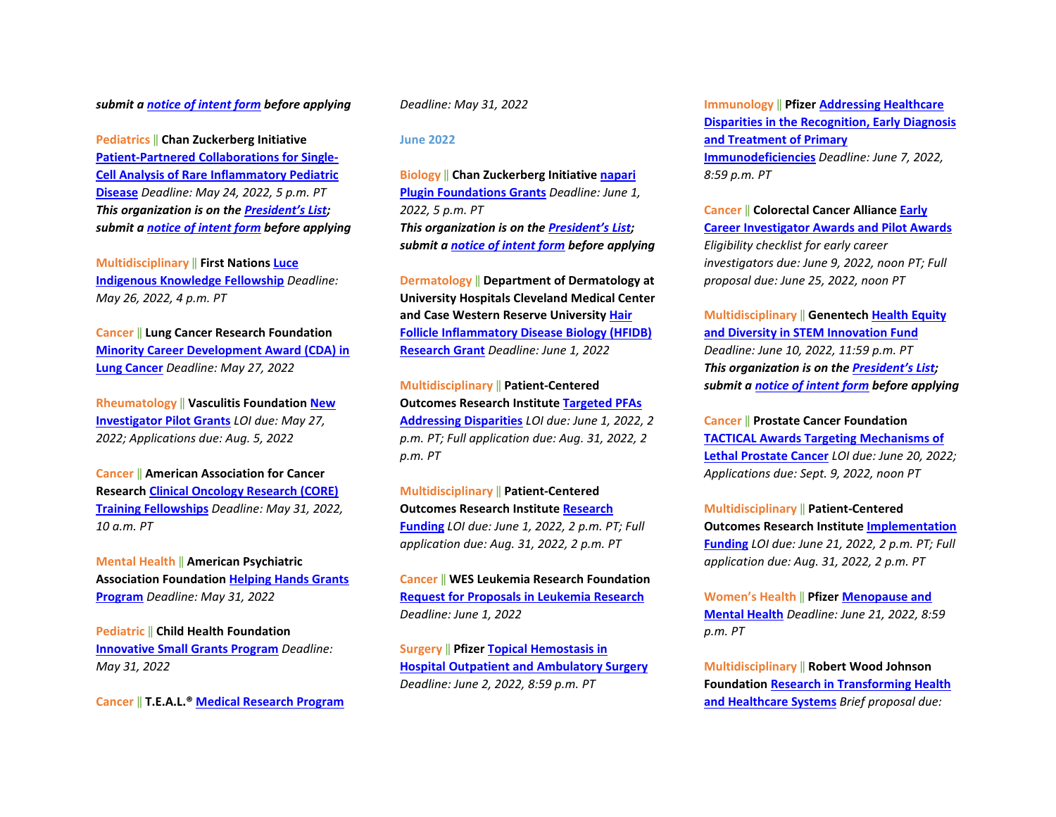#### *submit a [notice of intent form](https://app.smartsheet.com/b/form?EQBCT=b4b914967b774308b1947bbf8ab27b15) before applying*

**Pediatrics** ‖ **Chan Zuckerberg Initiative [Patient-Partnered Collaborations for Single-](https://chanzuckerberg.com/rfa/patient-partnered-collaborations-ppc-for-single-cell-analysis-of-rare-inflammatory-pediatric-disease/?utm_campaign=Science&utm_medium=email&_hsmi=202580275&_hsenc=p2ANqtz--ZJQ1ZVboYQ8IjCVmLEiXg223VV2gl607F0C4t8ORCAD1ruU7JpprCrP-K67vjH6EVYjxhoZPv8KHkER79YC8miPSm_A&utm_content=202580275&utm_source=hs_email)[Cell Analysis of Rare Inflammatory Pediatric](https://chanzuckerberg.com/rfa/patient-partnered-collaborations-ppc-for-single-cell-analysis-of-rare-inflammatory-pediatric-disease/?utm_campaign=Science&utm_medium=email&_hsmi=202580275&_hsenc=p2ANqtz--ZJQ1ZVboYQ8IjCVmLEiXg223VV2gl607F0C4t8ORCAD1ruU7JpprCrP-K67vjH6EVYjxhoZPv8KHkER79YC8miPSm_A&utm_content=202580275&utm_source=hs_email)  [Disease](https://chanzuckerberg.com/rfa/patient-partnered-collaborations-ppc-for-single-cell-analysis-of-rare-inflammatory-pediatric-disease/?utm_campaign=Science&utm_medium=email&_hsmi=202580275&_hsenc=p2ANqtz--ZJQ1ZVboYQ8IjCVmLEiXg223VV2gl607F0C4t8ORCAD1ruU7JpprCrP-K67vjH6EVYjxhoZPv8KHkER79YC8miPSm_A&utm_content=202580275&utm_source=hs_email)** *Deadline: May 24, 2022, 5 p.m. PT* *This organization is on th[e President's List;](https://o2.ohsu.edu/foundations/research-program-grants/ohsu-presidents-list/index.cfm)  submit a [notice of intent form](https://app.smartsheet.com/b/form?EQBCT=b4b914967b774308b1947bbf8ab27b15) before applying* 

**Multidisciplinary** ‖ **First Nations [Luce](https://www.firstnations.org/rfps/luce-2023/?bbeml=tp-pck9Q6QNPEiuBt3JmyTokQ.jjxjUwkq7j0qZ6JY8TF6ZyA.ryhV3KooWDEmTfEFb_-AY7A.lG2Twnxevk0qKGIsR419B5Q)  [Indigenous Knowledge Fellowship](https://www.firstnations.org/rfps/luce-2023/?bbeml=tp-pck9Q6QNPEiuBt3JmyTokQ.jjxjUwkq7j0qZ6JY8TF6ZyA.ryhV3KooWDEmTfEFb_-AY7A.lG2Twnxevk0qKGIsR419B5Q)** *Deadline: May 26, 2022, 4 p.m. PT*

**Cancer** ‖ **Lung Cancer Research Foundation [Minority Career Development Award \(CDA\) in](https://www.lungcancerresearchfoundation.org/research/funding-opportunities-2022/)  [Lung Cancer](https://www.lungcancerresearchfoundation.org/research/funding-opportunities-2022/)** *Deadline: May 27, 2022*

**Rheumatology** ‖ **Vasculitis Foundatio[n New](https://www.vasculitisfoundation.org/research/research-program/)  [Investigator Pilot Grants](https://www.vasculitisfoundation.org/research/research-program/)** *LOI due: May 27, 2022; Applications due: Aug. 5, 2022* 

**Cancer** ‖ **American Association for Cancer Research [Clinical Oncology Research \(CORE\)](https://www.aacr.org/grants/aacr-clinical-oncology-research-core-training-fellowships/)  [Training Fellowships](https://www.aacr.org/grants/aacr-clinical-oncology-research-core-training-fellowships/)** *Deadline: May 31, 2022, 10 a.m. PT*

**Mental Health** ‖ **American Psychiatric Association Foundation [Helping Hands Grants](https://apafdn.org/Impact/Community/Helping-Hands-Grants/Application)  [Program](https://apafdn.org/Impact/Community/Helping-Hands-Grants/Application)** *Deadline: May 31, 2022* 

**Pediatric** ‖ **Child Health Foundation [Innovative Small Grants Program](https://childhealthfoundation.org/how-to-apply/)** *Deadline: May 31, 2022*

**Cancer** ‖ **T.E.A.L.® [Medical Research Program](https://tealwalk.org/beneficiaries/)**

*Deadline: May 31, 2022*

#### **June 2022**

**Biology** ‖ **Chan Zuckerberg Initiative [napari](https://chanzuckerberg.com/rfa/napari-plugin-grants/?utm_campaign=Science&utm_medium=email&_hsmi=210365815&_hsenc=p2ANqtz--nAEQtge5PddaCkuwjZ2d5OX2ZfAkLvWRRXsrCNTbiI2ERgju_-O7iR6thKypomFPXOYwYnieVr8N1iIo3Ct0_S1Na7g&utm_content=210365815&utm_source=hs_email)  [Plugin Foundations Grants](https://chanzuckerberg.com/rfa/napari-plugin-grants/?utm_campaign=Science&utm_medium=email&_hsmi=210365815&_hsenc=p2ANqtz--nAEQtge5PddaCkuwjZ2d5OX2ZfAkLvWRRXsrCNTbiI2ERgju_-O7iR6thKypomFPXOYwYnieVr8N1iIo3Ct0_S1Na7g&utm_content=210365815&utm_source=hs_email)** *Deadline: June 1, 2022, 5 p.m. PT* *This organization is on th[e President's List;](https://o2.ohsu.edu/foundations/research-program-grants/ohsu-presidents-list/index.cfm)  submit a [notice of intent form](https://app.smartsheet.com/b/form?EQBCT=b4b914967b774308b1947bbf8ab27b15) before applying* 

**Dermatology** ‖ **Department of Dermatology at University Hospitals Cleveland Medical Center and Case Western Reserve University [Hair](https://www.uhhospitals.org/uh-research/department-research/dermatology-research/hfidb-research-grant)  [Follicle Inflammatory Disease Biology \(HFIDB\)](https://www.uhhospitals.org/uh-research/department-research/dermatology-research/hfidb-research-grant)  [Research Grant](https://www.uhhospitals.org/uh-research/department-research/dermatology-research/hfidb-research-grant)** *Deadline: June 1, 2022* 

**Multidisciplinary** ‖ **Patient-Centered Outcomes Research Institute [Targeted PFAs](https://www.pcori.org/blog/funding-opportunities-targeting-maternal-health-hypertension-management-and-more-open-may-3?utm_source=weeklyemail&utm_medium=email&utm_campaign=050322)  [Addressing Disparities](https://www.pcori.org/blog/funding-opportunities-targeting-maternal-health-hypertension-management-and-more-open-may-3?utm_source=weeklyemail&utm_medium=email&utm_campaign=050322)** *LOI due: June 1, 2022, 2 p.m. PT; Full application due: Aug. 31, 2022, 2 p.m. PT* 

**Multidisciplinary** ‖ **Patient-Centered Outcomes Research Institute [Research](https://www.pcori.org/blog/funding-opportunities-targeting-maternal-health-hypertension-management-and-more-open-may-3?utm_source=weeklyemail&utm_medium=email&utm_campaign=050322)  [Funding](https://www.pcori.org/blog/funding-opportunities-targeting-maternal-health-hypertension-management-and-more-open-may-3?utm_source=weeklyemail&utm_medium=email&utm_campaign=050322)** *LOI due: June 1, 2022, 2 p.m. PT; Full application due: Aug. 31, 2022, 2 p.m. PT* 

**Cancer** ‖ **WES Leukemia Research Foundation [Request for Proposals in Leukemia Research](https://www.wheneveryonesurvives.org/grant_application)** *Deadline: June 1, 2022*

**Surgery** ‖ **Pfizer [Topical Hemostasis in](https://cdn.pfizer.com/pfizercom/2022-04/GMG_2022-HOS-US_TopicalHemostasisHospitalOutpatientAmbulatorySurgery.pdf?LsrivFTCJ3YId2S2PJma6WU2D1CEoYhE)  [Hospital Outpatient and Ambulatory Surgery](https://cdn.pfizer.com/pfizercom/2022-04/GMG_2022-HOS-US_TopicalHemostasisHospitalOutpatientAmbulatorySurgery.pdf?LsrivFTCJ3YId2S2PJma6WU2D1CEoYhE)** *Deadline: June 2, 2022, 8:59 p.m. PT* 

**Immunology** ‖ **Pfize[r Addressing Healthcare](https://cdn.pfizer.com/pfizercom/2022-04/2022%20Primary%20Immunodeficiencies_General%20RFP%20Template-Education-v.Feb2022_FINAL.pdf?thwr8eE75fjVjzORLh9gCgr7uMoiRqne)  [Disparities in the Recognition, Early Diagnosis](https://cdn.pfizer.com/pfizercom/2022-04/2022%20Primary%20Immunodeficiencies_General%20RFP%20Template-Education-v.Feb2022_FINAL.pdf?thwr8eE75fjVjzORLh9gCgr7uMoiRqne)  [and Treatment of Primary](https://cdn.pfizer.com/pfizercom/2022-04/2022%20Primary%20Immunodeficiencies_General%20RFP%20Template-Education-v.Feb2022_FINAL.pdf?thwr8eE75fjVjzORLh9gCgr7uMoiRqne)  [Immunodeficiencies](https://cdn.pfizer.com/pfizercom/2022-04/2022%20Primary%20Immunodeficiencies_General%20RFP%20Template-Education-v.Feb2022_FINAL.pdf?thwr8eE75fjVjzORLh9gCgr7uMoiRqne)** *Deadline: June 7, 2022, 8:59 p.m. PT* 

**Cancer** ‖ **Colorectal Cancer Alliance [Early](https://www.ccalliance.org/research/apply-for-research-grant)  [Career Investigator Awards and Pilot Awards](https://www.ccalliance.org/research/apply-for-research-grant)** *Eligibility checklist for early career investigators due: June 9, 2022, noon PT; Full proposal due: June 25, 2022, noon PT*

**Multidisciplinary** ‖ **Genentech [Health Equity](https://www.gene.com/good/giving/corporate-giving/rfp-genentech-2022-innovation-fund)  [and Diversity in STEM Innovation Fund](https://www.gene.com/good/giving/corporate-giving/rfp-genentech-2022-innovation-fund)** *Deadline: June 10, 2022, 11:59 p.m. PT* *This organization is on th[e President's List;](https://o2.ohsu.edu/foundations/research-program-grants/ohsu-presidents-list/index.cfm)  submit a [notice of intent form](https://app.smartsheet.com/b/form?EQBCT=b4b914967b774308b1947bbf8ab27b15) before applying* 

**Cancer** ‖ **Prostate Cancer Foundation [TACTICAL Awards Targeting Mechanisms of](https://res.cloudinary.com/pcf/image/upload/v1651512650/2022_TACTICAL_Award_RFA_5.2.22_co3ajy.pdf)  [Lethal Prostate Cancer](https://res.cloudinary.com/pcf/image/upload/v1651512650/2022_TACTICAL_Award_RFA_5.2.22_co3ajy.pdf)** *LOI due: June 20, 2022; Applications due: Sept. 9, 2022, noon PT* 

**Multidisciplinary** ‖ **Patient-Centered Outcomes Research Institute [Implementation](https://www.pcori.org/blog/funding-opportunities-targeting-maternal-health-hypertension-management-and-more-open-may-3?utm_source=weeklyemail&utm_medium=email&utm_campaign=050322)  [Funding](https://www.pcori.org/blog/funding-opportunities-targeting-maternal-health-hypertension-management-and-more-open-may-3?utm_source=weeklyemail&utm_medium=email&utm_campaign=050322)** *LOI due: June 21, 2022, 2 p.m. PT; Full application due: Aug. 31, 2022, 2 p.m. PT*

**Women's Health** ‖ **Pfize[r Menopause and](https://cdn.pfizer.com/pfizercom/2022-04/GMG_2022-IM-US_MenopauseMentalHealth.pdf?aAoPbkh2Cu2_g0Ai0ghViDzXuzK_R3j_)  [Mental Health](https://cdn.pfizer.com/pfizercom/2022-04/GMG_2022-IM-US_MenopauseMentalHealth.pdf?aAoPbkh2Cu2_g0Ai0ghViDzXuzK_R3j_)** *Deadline: June 21, 2022, 8:59 p.m. PT*

**Multidisciplinary** ‖ **Robert Wood Johnson Foundation [Research in Transforming Health](https://www.rwjf.org/en/library/funding-opportunities/2022/research-in-transforming-health-and-healthcare-systems.html?rid=0034400001rlqDeAAI&et_cid=2531459)  [and Healthcare](https://www.rwjf.org/en/library/funding-opportunities/2022/research-in-transforming-health-and-healthcare-systems.html?rid=0034400001rlqDeAAI&et_cid=2531459) Systems** *Brief proposal due:*